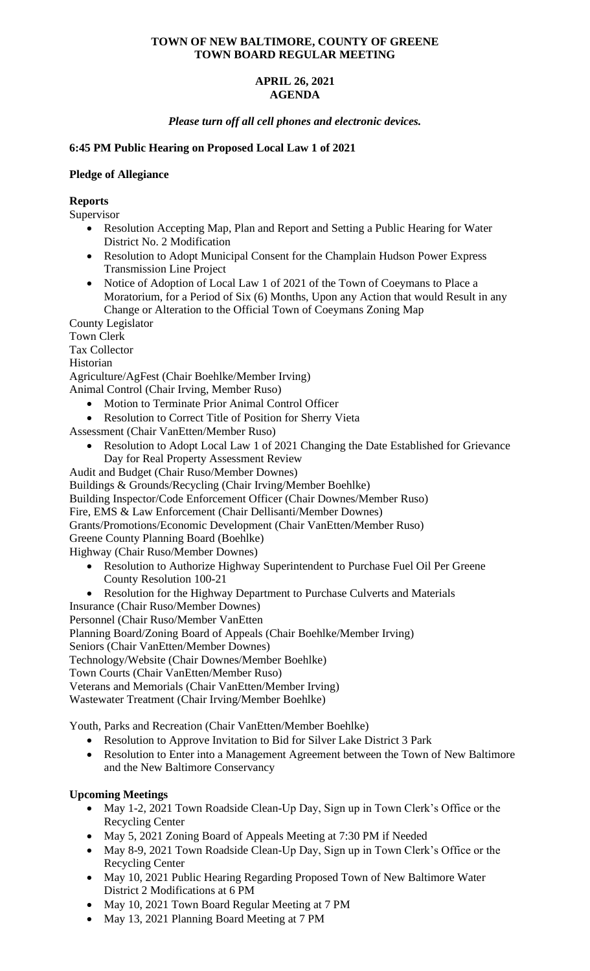# **TOWN OF NEW BALTIMORE, COUNTY OF GREENE TOWN BOARD REGULAR MEETING**

# **APRIL 26, 2021 AGENDA**

*Please turn off all cell phones and electronic devices.*

# **6:45 PM Public Hearing on Proposed Local Law 1 of 2021**

## **Pledge of Allegiance**

# **Reports**

Supervisor

- Resolution Accepting Map, Plan and Report and Setting a Public Hearing for Water District No. 2 Modification
- Resolution to Adopt Municipal Consent for the Champlain Hudson Power Express Transmission Line Project
- Notice of Adoption of Local Law 1 of 2021 of the Town of Coeymans to Place a Moratorium, for a Period of Six (6) Months, Upon any Action that would Result in any Change or Alteration to the Official Town of Coeymans Zoning Map

County Legislator Town Clerk Tax Collector

Historian

Agriculture/AgFest (Chair Boehlke/Member Irving)

Animal Control (Chair Irving, Member Ruso)

- Motion to Terminate Prior Animal Control Officer
- Resolution to Correct Title of Position for Sherry Vieta

Assessment (Chair VanEtten/Member Ruso)

- Resolution to Adopt Local Law 1 of 2021 Changing the Date Established for Grievance Day for Real Property Assessment Review
- Audit and Budget (Chair Ruso/Member Downes)

Buildings & Grounds/Recycling (Chair Irving/Member Boehlke)

Building Inspector/Code Enforcement Officer (Chair Downes/Member Ruso)

Fire, EMS & Law Enforcement (Chair Dellisanti/Member Downes)

Grants/Promotions/Economic Development (Chair VanEtten/Member Ruso)

Greene County Planning Board (Boehlke)

Highway (Chair Ruso/Member Downes)

- Resolution to Authorize Highway Superintendent to Purchase Fuel Oil Per Greene County Resolution 100-21
- Resolution for the Highway Department to Purchase Culverts and Materials

Insurance (Chair Ruso/Member Downes)

Personnel (Chair Ruso/Member VanEtten

Planning Board/Zoning Board of Appeals (Chair Boehlke/Member Irving)

Seniors (Chair VanEtten/Member Downes)

Technology/Website (Chair Downes/Member Boehlke)

Town Courts (Chair VanEtten/Member Ruso)

Veterans and Memorials (Chair VanEtten/Member Irving)

Wastewater Treatment (Chair Irving/Member Boehlke)

Youth, Parks and Recreation (Chair VanEtten/Member Boehlke)

- Resolution to Approve Invitation to Bid for Silver Lake District 3 Park
- Resolution to Enter into a Management Agreement between the Town of New Baltimore and the New Baltimore Conservancy

# **Upcoming Meetings**

- May 1-2, 2021 Town Roadside Clean-Up Day, Sign up in Town Clerk's Office or the Recycling Center
- May 5, 2021 Zoning Board of Appeals Meeting at 7:30 PM if Needed
- May 8-9, 2021 Town Roadside Clean-Up Day, Sign up in Town Clerk's Office or the Recycling Center
- May 10, 2021 Public Hearing Regarding Proposed Town of New Baltimore Water District 2 Modifications at 6 PM
- May 10, 2021 Town Board Regular Meeting at 7 PM
- May 13, 2021 Planning Board Meeting at 7 PM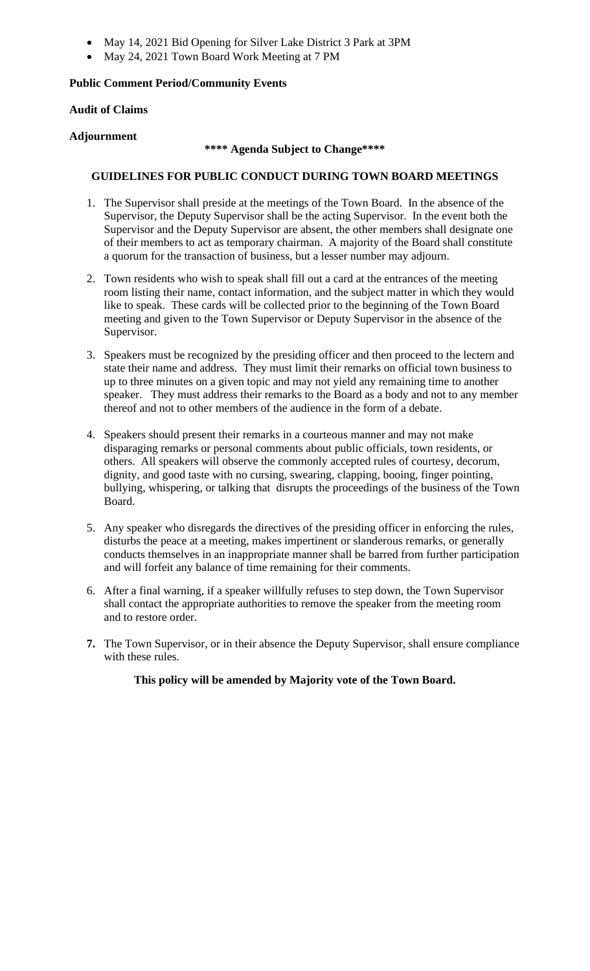- May 14, 2021 Bid Opening for Silver Lake District 3 Park at 3PM
- May 24, 2021 Town Board Work Meeting at 7 PM

# **Public Comment Period/Community Events**

# **Audit of Claims**

# **Adjournment**

## **\*\*\*\* Agenda Subject to Change\*\*\*\***

# **GUIDELINES FOR PUBLIC CONDUCT DURING TOWN BOARD MEETINGS**

- 1. The Supervisor shall preside at the meetings of the Town Board. In the absence of the Supervisor, the Deputy Supervisor shall be the acting Supervisor. In the event both the Supervisor and the Deputy Supervisor are absent, the other members shall designate one of their members to act as temporary chairman. A majority of the Board shall constitute a quorum for the transaction of business, but a lesser number may adjourn.
- 2. Town residents who wish to speak shall fill out a card at the entrances of the meeting room listing their name, contact information, and the subject matter in which they would like to speak. These cards will be collected prior to the beginning of the Town Board meeting and given to the Town Supervisor or Deputy Supervisor in the absence of the Supervisor.
- 3. Speakers must be recognized by the presiding officer and then proceed to the lectern and state their name and address. They must limit their remarks on official town business to up to three minutes on a given topic and may not yield any remaining time to another speaker. They must address their remarks to the Board as a body and not to any member thereof and not to other members of the audience in the form of a debate.
- 4. Speakers should present their remarks in a courteous manner and may not make disparaging remarks or personal comments about public officials, town residents, or others. All speakers will observe the commonly accepted rules of courtesy, decorum, dignity, and good taste with no cursing, swearing, clapping, booing, finger pointing, bullying, whispering, or talking that disrupts the proceedings of the business of the Town Board.
- 5. Any speaker who disregards the directives of the presiding officer in enforcing the rules, disturbs the peace at a meeting, makes impertinent or slanderous remarks, or generally conducts themselves in an inappropriate manner shall be barred from further participation and will forfeit any balance of time remaining for their comments.
- 6. After a final warning, if a speaker willfully refuses to step down, the Town Supervisor shall contact the appropriate authorities to remove the speaker from the meeting room and to restore order.
- **7.** The Town Supervisor, or in their absence the Deputy Supervisor, shall ensure compliance with these rules.

**This policy will be amended by Majority vote of the Town Board.**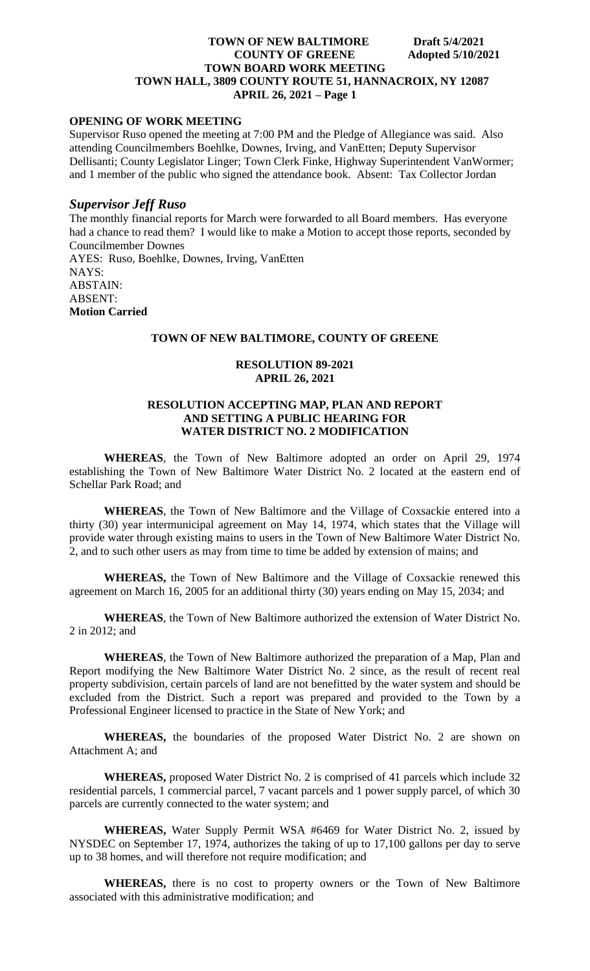# **OPENING OF WORK MEETING**

Supervisor Ruso opened the meeting at 7:00 PM and the Pledge of Allegiance was said. Also attending Councilmembers Boehlke, Downes, Irving, and VanEtten; Deputy Supervisor Dellisanti; County Legislator Linger; Town Clerk Finke, Highway Superintendent VanWormer; and 1 member of the public who signed the attendance book. Absent: Tax Collector Jordan

#### *Supervisor Jeff Ruso*

The monthly financial reports for March were forwarded to all Board members. Has everyone had a chance to read them? I would like to make a Motion to accept those reports, seconded by Councilmember Downes AYES: Ruso, Boehlke, Downes, Irving, VanEtten NAYS: ABSTAIN: ABSENT: **Motion Carried**

## **TOWN OF NEW BALTIMORE, COUNTY OF GREENE**

#### **RESOLUTION 89-2021 APRIL 26, 2021**

## **RESOLUTION ACCEPTING MAP, PLAN AND REPORT AND SETTING A PUBLIC HEARING FOR WATER DISTRICT NO. 2 MODIFICATION**

**WHEREAS**, the Town of New Baltimore adopted an order on April 29, 1974 establishing the Town of New Baltimore Water District No. 2 located at the eastern end of Schellar Park Road; and

**WHEREAS**, the Town of New Baltimore and the Village of Coxsackie entered into a thirty (30) year intermunicipal agreement on May 14, 1974, which states that the Village will provide water through existing mains to users in the Town of New Baltimore Water District No. 2, and to such other users as may from time to time be added by extension of mains; and

**WHEREAS,** the Town of New Baltimore and the Village of Coxsackie renewed this agreement on March 16, 2005 for an additional thirty (30) years ending on May 15, 2034; and

**WHEREAS**, the Town of New Baltimore authorized the extension of Water District No. 2 in 2012; and

**WHEREAS**, the Town of New Baltimore authorized the preparation of a Map, Plan and Report modifying the New Baltimore Water District No. 2 since, as the result of recent real property subdivision, certain parcels of land are not benefitted by the water system and should be excluded from the District. Such a report was prepared and provided to the Town by a Professional Engineer licensed to practice in the State of New York; and

**WHEREAS,** the boundaries of the proposed Water District No. 2 are shown on Attachment A; and

**WHEREAS,** proposed Water District No. 2 is comprised of 41 parcels which include 32 residential parcels, 1 commercial parcel, 7 vacant parcels and 1 power supply parcel, of which 30 parcels are currently connected to the water system; and

**WHEREAS,** Water Supply Permit WSA #6469 for Water District No. 2, issued by NYSDEC on September 17, 1974, authorizes the taking of up to 17,100 gallons per day to serve up to 38 homes, and will therefore not require modification; and

**WHEREAS,** there is no cost to property owners or the Town of New Baltimore associated with this administrative modification; and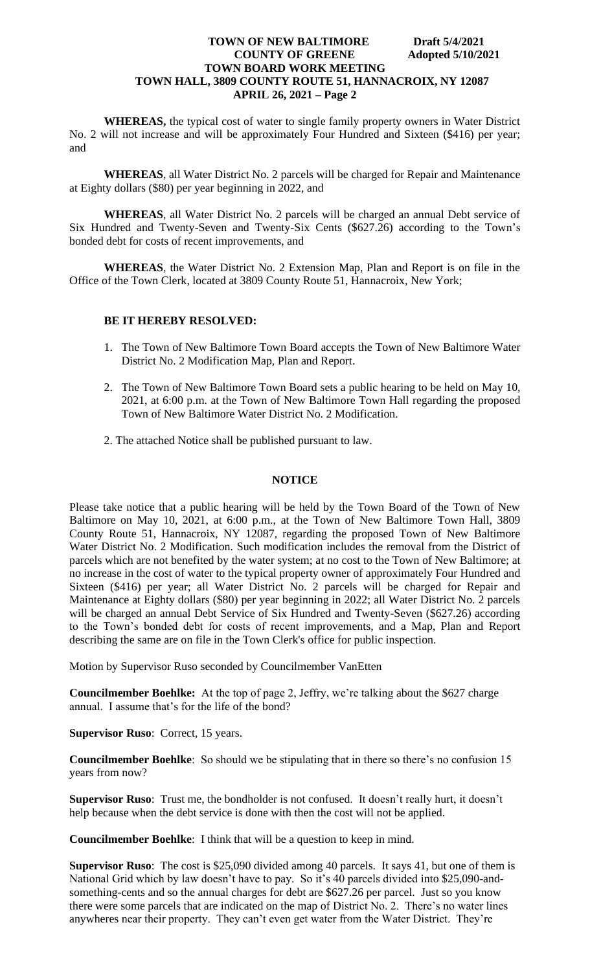**WHEREAS,** the typical cost of water to single family property owners in Water District No. 2 will not increase and will be approximately Four Hundred and Sixteen (\$416) per year; and

**WHEREAS**, all Water District No. 2 parcels will be charged for Repair and Maintenance at Eighty dollars (\$80) per year beginning in 2022, and

**WHEREAS**, all Water District No. 2 parcels will be charged an annual Debt service of Six Hundred and Twenty-Seven and Twenty-Six Cents (\$627.26) according to the Town's bonded debt for costs of recent improvements, and

**WHEREAS**, the Water District No. 2 Extension Map, Plan and Report is on file in the Office of the Town Clerk, located at 3809 County Route 51, Hannacroix, New York;

# **BE IT HEREBY RESOLVED:**

- 1. The Town of New Baltimore Town Board accepts the Town of New Baltimore Water District No. 2 Modification Map, Plan and Report.
- 2. The Town of New Baltimore Town Board sets a public hearing to be held on May 10, 2021, at 6:00 p.m. at the Town of New Baltimore Town Hall regarding the proposed Town of New Baltimore Water District No. 2 Modification.
- 2. The attached Notice shall be published pursuant to law.

#### **NOTICE**

Please take notice that a public hearing will be held by the Town Board of the Town of New Baltimore on May 10, 2021, at 6:00 p.m., at the Town of New Baltimore Town Hall, 3809 County Route 51, Hannacroix, NY 12087, regarding the proposed Town of New Baltimore Water District No. 2 Modification. Such modification includes the removal from the District of parcels which are not benefited by the water system; at no cost to the Town of New Baltimore; at no increase in the cost of water to the typical property owner of approximately Four Hundred and Sixteen (\$416) per year; all Water District No. 2 parcels will be charged for Repair and Maintenance at Eighty dollars (\$80) per year beginning in 2022; all Water District No. 2 parcels will be charged an annual Debt Service of Six Hundred and Twenty-Seven (\$627.26) according to the Town's bonded debt for costs of recent improvements, and a Map, Plan and Report describing the same are on file in the Town Clerk's office for public inspection.

Motion by Supervisor Ruso seconded by Councilmember VanEtten

**Councilmember Boehlke:** At the top of page 2, Jeffry, we're talking about the \$627 charge annual. I assume that's for the life of the bond?

**Supervisor Ruso**: Correct, 15 years.

**Councilmember Boehlke**: So should we be stipulating that in there so there's no confusion 15 years from now?

**Supervisor Ruso**: Trust me, the bondholder is not confused. It doesn't really hurt, it doesn't help because when the debt service is done with then the cost will not be applied.

**Councilmember Boehlke**: I think that will be a question to keep in mind.

**Supervisor Ruso**: The cost is \$25,090 divided among 40 parcels. It says 41, but one of them is National Grid which by law doesn't have to pay. So it's 40 parcels divided into \$25,090-andsomething-cents and so the annual charges for debt are \$627.26 per parcel. Just so you know there were some parcels that are indicated on the map of District No. 2. There's no water lines anywheres near their property. They can't even get water from the Water District. They're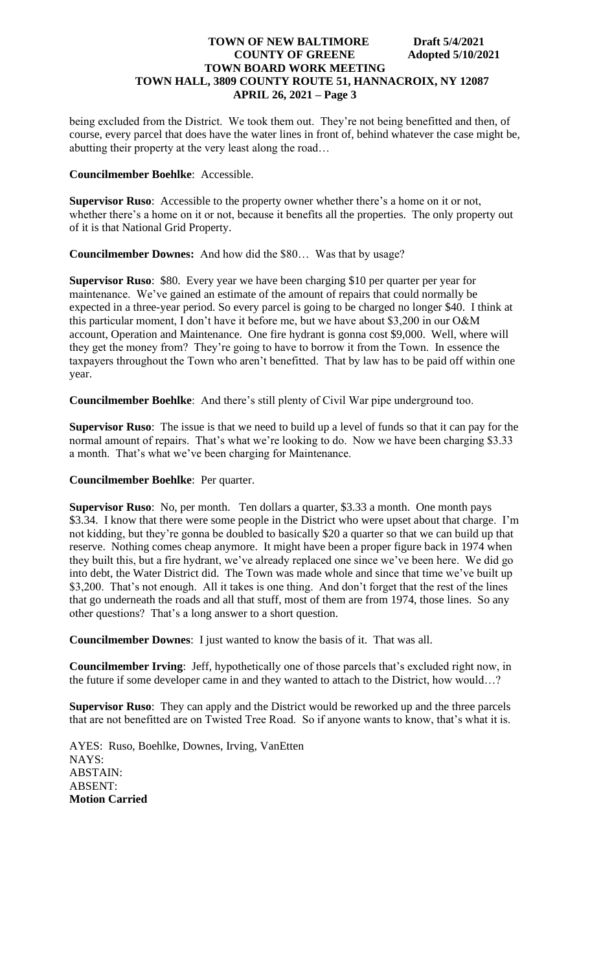being excluded from the District. We took them out. They're not being benefitted and then, of course, every parcel that does have the water lines in front of, behind whatever the case might be, abutting their property at the very least along the road…

## **Councilmember Boehlke**: Accessible.

**Supervisor Ruso**: Accessible to the property owner whether there's a home on it or not, whether there's a home on it or not, because it benefits all the properties. The only property out of it is that National Grid Property.

**Councilmember Downes:** And how did the \$80… Was that by usage?

**Supervisor Ruso**: \$80. Every year we have been charging \$10 per quarter per year for maintenance. We've gained an estimate of the amount of repairs that could normally be expected in a three-year period. So every parcel is going to be charged no longer \$40. I think at this particular moment, I don't have it before me, but we have about \$3,200 in our O&M account, Operation and Maintenance. One fire hydrant is gonna cost \$9,000. Well, where will they get the money from? They're going to have to borrow it from the Town. In essence the taxpayers throughout the Town who aren't benefitted. That by law has to be paid off within one year.

**Councilmember Boehlke**: And there's still plenty of Civil War pipe underground too.

**Supervisor Ruso**: The issue is that we need to build up a level of funds so that it can pay for the normal amount of repairs. That's what we're looking to do. Now we have been charging \$3.33 a month. That's what we've been charging for Maintenance.

# **Councilmember Boehlke**: Per quarter.

**Supervisor Ruso**: No, per month. Ten dollars a quarter, \$3.33 a month. One month pays \$3.34. I know that there were some people in the District who were upset about that charge. I'm not kidding, but they're gonna be doubled to basically \$20 a quarter so that we can build up that reserve. Nothing comes cheap anymore. It might have been a proper figure back in 1974 when they built this, but a fire hydrant, we've already replaced one since we've been here. We did go into debt, the Water District did. The Town was made whole and since that time we've built up \$3,200. That's not enough. All it takes is one thing. And don't forget that the rest of the lines that go underneath the roads and all that stuff, most of them are from 1974, those lines. So any other questions? That's a long answer to a short question.

**Councilmember Downes**: I just wanted to know the basis of it. That was all.

**Councilmember Irving**: Jeff, hypothetically one of those parcels that's excluded right now, in the future if some developer came in and they wanted to attach to the District, how would…?

**Supervisor Ruso**: They can apply and the District would be reworked up and the three parcels that are not benefitted are on Twisted Tree Road. So if anyone wants to know, that's what it is.

AYES: Ruso, Boehlke, Downes, Irving, VanEtten NAYS: ABSTAIN: ABSENT: **Motion Carried**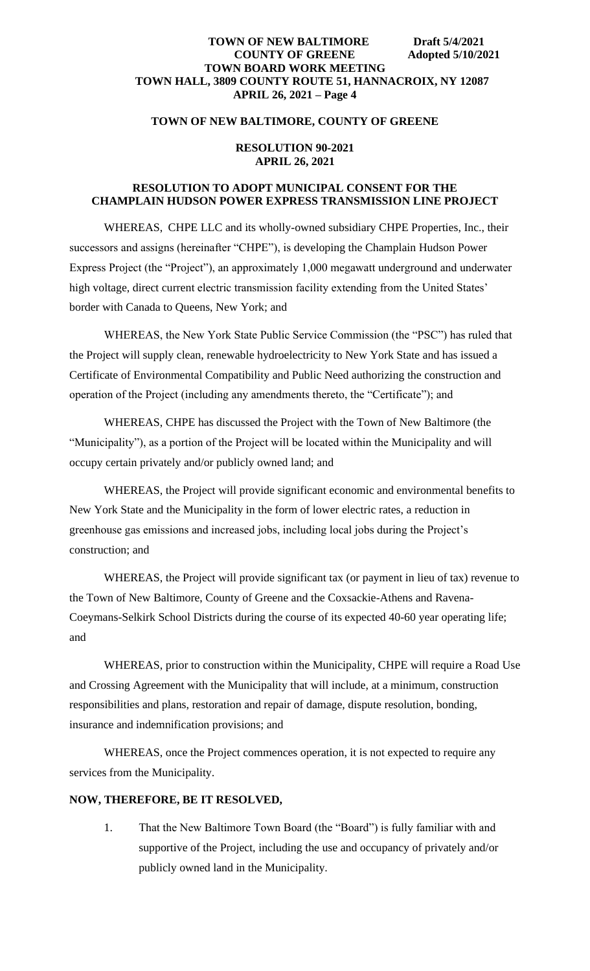## **TOWN OF NEW BALTIMORE, COUNTY OF GREENE**

### **RESOLUTION 90-2021 APRIL 26, 2021**

# **RESOLUTION TO ADOPT MUNICIPAL CONSENT FOR THE CHAMPLAIN HUDSON POWER EXPRESS TRANSMISSION LINE PROJECT**

WHEREAS, CHPE LLC and its wholly-owned subsidiary CHPE Properties, Inc., their successors and assigns (hereinafter "CHPE"), is developing the Champlain Hudson Power Express Project (the "Project"), an approximately 1,000 megawatt underground and underwater high voltage, direct current electric transmission facility extending from the United States' border with Canada to Queens, New York; and

WHEREAS, the New York State Public Service Commission (the "PSC") has ruled that the Project will supply clean, renewable hydroelectricity to New York State and has issued a Certificate of Environmental Compatibility and Public Need authorizing the construction and operation of the Project (including any amendments thereto, the "Certificate"); and

WHEREAS, CHPE has discussed the Project with the Town of New Baltimore (the "Municipality"), as a portion of the Project will be located within the Municipality and will occupy certain privately and/or publicly owned land; and

WHEREAS, the Project will provide significant economic and environmental benefits to New York State and the Municipality in the form of lower electric rates, a reduction in greenhouse gas emissions and increased jobs, including local jobs during the Project's construction; and

WHEREAS, the Project will provide significant tax (or payment in lieu of tax) revenue to the Town of New Baltimore, County of Greene and the Coxsackie-Athens and Ravena-Coeymans-Selkirk School Districts during the course of its expected 40-60 year operating life; and

WHEREAS, prior to construction within the Municipality, CHPE will require a Road Use and Crossing Agreement with the Municipality that will include, at a minimum, construction responsibilities and plans, restoration and repair of damage, dispute resolution, bonding, insurance and indemnification provisions; and

WHEREAS, once the Project commences operation, it is not expected to require any services from the Municipality.

# **NOW, THEREFORE, BE IT RESOLVED,**

1. That the New Baltimore Town Board (the "Board") is fully familiar with and supportive of the Project, including the use and occupancy of privately and/or publicly owned land in the Municipality.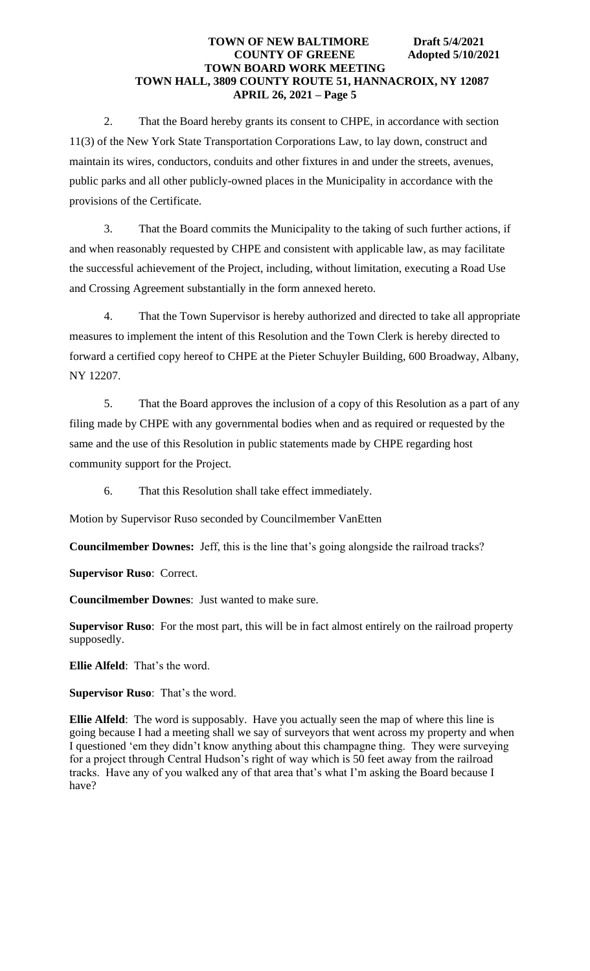2. That the Board hereby grants its consent to CHPE, in accordance with section 11(3) of the New York State Transportation Corporations Law, to lay down, construct and maintain its wires, conductors, conduits and other fixtures in and under the streets, avenues, public parks and all other publicly-owned places in the Municipality in accordance with the provisions of the Certificate.

3. That the Board commits the Municipality to the taking of such further actions, if and when reasonably requested by CHPE and consistent with applicable law, as may facilitate the successful achievement of the Project, including, without limitation, executing a Road Use and Crossing Agreement substantially in the form annexed hereto.

4. That the Town Supervisor is hereby authorized and directed to take all appropriate measures to implement the intent of this Resolution and the Town Clerk is hereby directed to forward a certified copy hereof to CHPE at the Pieter Schuyler Building, 600 Broadway, Albany, NY 12207.

5. That the Board approves the inclusion of a copy of this Resolution as a part of any filing made by CHPE with any governmental bodies when and as required or requested by the same and the use of this Resolution in public statements made by CHPE regarding host community support for the Project.

6. That this Resolution shall take effect immediately.

Motion by Supervisor Ruso seconded by Councilmember VanEtten

**Councilmember Downes:** Jeff, this is the line that's going alongside the railroad tracks?

**Supervisor Ruso**: Correct.

**Councilmember Downes**: Just wanted to make sure.

**Supervisor Ruso**: For the most part, this will be in fact almost entirely on the railroad property supposedly.

**Ellie Alfeld**: That's the word.

**Supervisor Ruso**: That's the word.

**Ellie Alfeld**: The word is supposably. Have you actually seen the map of where this line is going because I had a meeting shall we say of surveyors that went across my property and when I questioned 'em they didn't know anything about this champagne thing. They were surveying for a project through Central Hudson's right of way which is 50 feet away from the railroad tracks. Have any of you walked any of that area that's what I'm asking the Board because I have?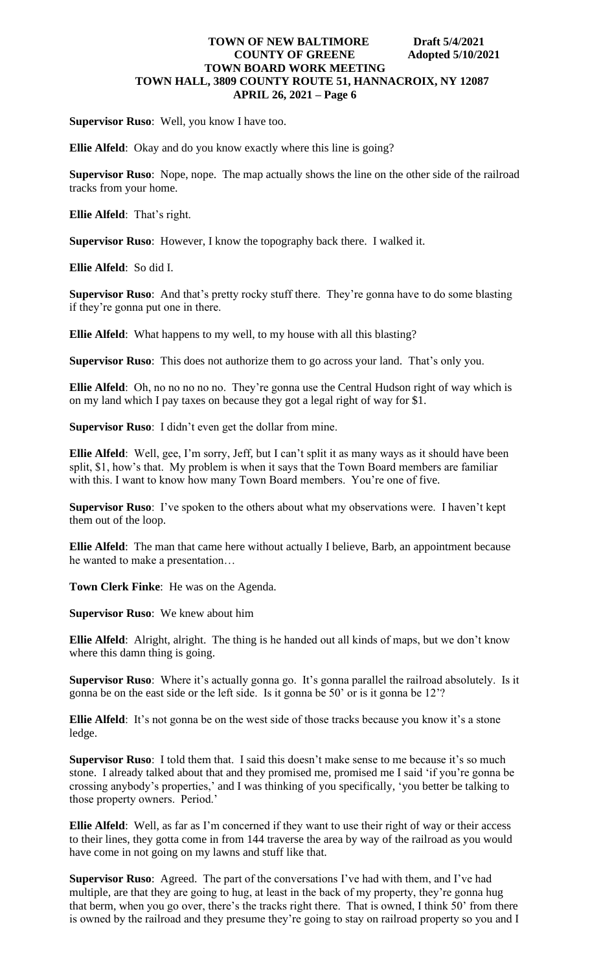**Supervisor Ruso**: Well, you know I have too.

**Ellie Alfeld**: Okay and do you know exactly where this line is going?

**Supervisor Ruso**: Nope, nope. The map actually shows the line on the other side of the railroad tracks from your home.

**Ellie Alfeld**: That's right.

**Supervisor Ruso**: However, I know the topography back there. I walked it.

**Ellie Alfeld**: So did I.

**Supervisor Ruso**: And that's pretty rocky stuff there. They're gonna have to do some blasting if they're gonna put one in there.

**Ellie Alfeld**: What happens to my well, to my house with all this blasting?

**Supervisor Ruso**: This does not authorize them to go across your land. That's only you.

**Ellie Alfeld**: Oh, no no no no no. They're gonna use the Central Hudson right of way which is on my land which I pay taxes on because they got a legal right of way for \$1.

**Supervisor Ruso**: I didn't even get the dollar from mine.

**Ellie Alfeld**: Well, gee, I'm sorry, Jeff, but I can't split it as many ways as it should have been split, \$1, how's that. My problem is when it says that the Town Board members are familiar with this. I want to know how many Town Board members. You're one of five.

**Supervisor Ruso**: I've spoken to the others about what my observations were. I haven't kept them out of the loop.

**Ellie Alfeld**: The man that came here without actually I believe, Barb, an appointment because he wanted to make a presentation…

**Town Clerk Finke**: He was on the Agenda.

**Supervisor Ruso**: We knew about him

**Ellie Alfeld**: Alright, alright. The thing is he handed out all kinds of maps, but we don't know where this damn thing is going.

**Supervisor Ruso**: Where it's actually gonna go. It's gonna parallel the railroad absolutely. Is it gonna be on the east side or the left side. Is it gonna be 50' or is it gonna be 12'?

**Ellie Alfeld**: It's not gonna be on the west side of those tracks because you know it's a stone ledge.

**Supervisor Ruso**: I told them that. I said this doesn't make sense to me because it's so much stone. I already talked about that and they promised me, promised me I said 'if you're gonna be crossing anybody's properties,' and I was thinking of you specifically, 'you better be talking to those property owners. Period.'

**Ellie Alfeld**: Well, as far as I'm concerned if they want to use their right of way or their access to their lines, they gotta come in from 144 traverse the area by way of the railroad as you would have come in not going on my lawns and stuff like that.

**Supervisor Ruso**: Agreed. The part of the conversations I've had with them, and I've had multiple, are that they are going to hug, at least in the back of my property, they're gonna hug that berm, when you go over, there's the tracks right there. That is owned, I think 50' from there is owned by the railroad and they presume they're going to stay on railroad property so you and I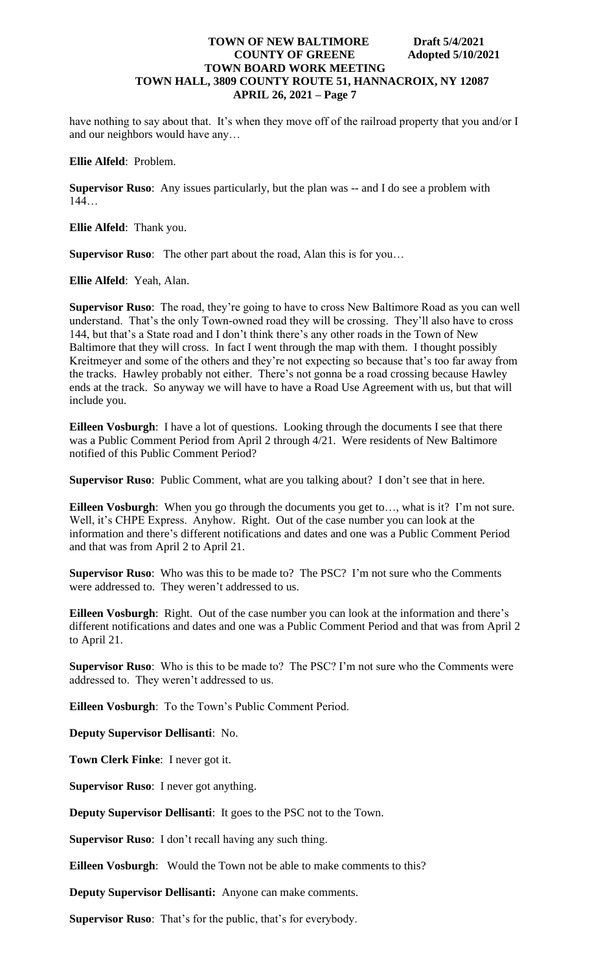have nothing to say about that. It's when they move off of the railroad property that you and/or I and our neighbors would have any…

**Ellie Alfeld**: Problem.

**Supervisor Ruso**: Any issues particularly, but the plan was -- and I do see a problem with 144…

**Ellie Alfeld**: Thank you.

**Supervisor Ruso**: The other part about the road, Alan this is for you…

**Ellie Alfeld**: Yeah, Alan.

**Supervisor Ruso**: The road, they're going to have to cross New Baltimore Road as you can well understand. That's the only Town-owned road they will be crossing. They'll also have to cross 144, but that's a State road and I don't think there's any other roads in the Town of New Baltimore that they will cross. In fact I went through the map with them. I thought possibly Kreitmeyer and some of the others and they're not expecting so because that's too far away from the tracks. Hawley probably not either. There's not gonna be a road crossing because Hawley ends at the track. So anyway we will have to have a Road Use Agreement with us, but that will include you.

**Eilleen Vosburgh**: I have a lot of questions. Looking through the documents I see that there was a Public Comment Period from April 2 through 4/21. Were residents of New Baltimore notified of this Public Comment Period?

**Supervisor Ruso**: Public Comment, what are you talking about? I don't see that in here.

**Eilleen Vosburgh**: When you go through the documents you get to…, what is it? I'm not sure. Well, it's CHPE Express. Anyhow. Right. Out of the case number you can look at the information and there's different notifications and dates and one was a Public Comment Period and that was from April 2 to April 21.

**Supervisor Ruso**: Who was this to be made to? The PSC? I'm not sure who the Comments were addressed to. They weren't addressed to us.

**Eilleen Vosburgh**: Right. Out of the case number you can look at the information and there's different notifications and dates and one was a Public Comment Period and that was from April 2 to April 21.

**Supervisor Ruso**: Who is this to be made to? The PSC? I'm not sure who the Comments were addressed to. They weren't addressed to us.

**Eilleen Vosburgh**: To the Town's Public Comment Period.

**Deputy Supervisor Dellisanti**: No.

**Town Clerk Finke**: I never got it.

**Supervisor Ruso**: I never got anything.

**Deputy Supervisor Dellisanti**: It goes to the PSC not to the Town.

**Supervisor Ruso**: I don't recall having any such thing.

**Eilleen Vosburgh**: Would the Town not be able to make comments to this?

**Deputy Supervisor Dellisanti:** Anyone can make comments.

**Supervisor Ruso**: That's for the public, that's for everybody.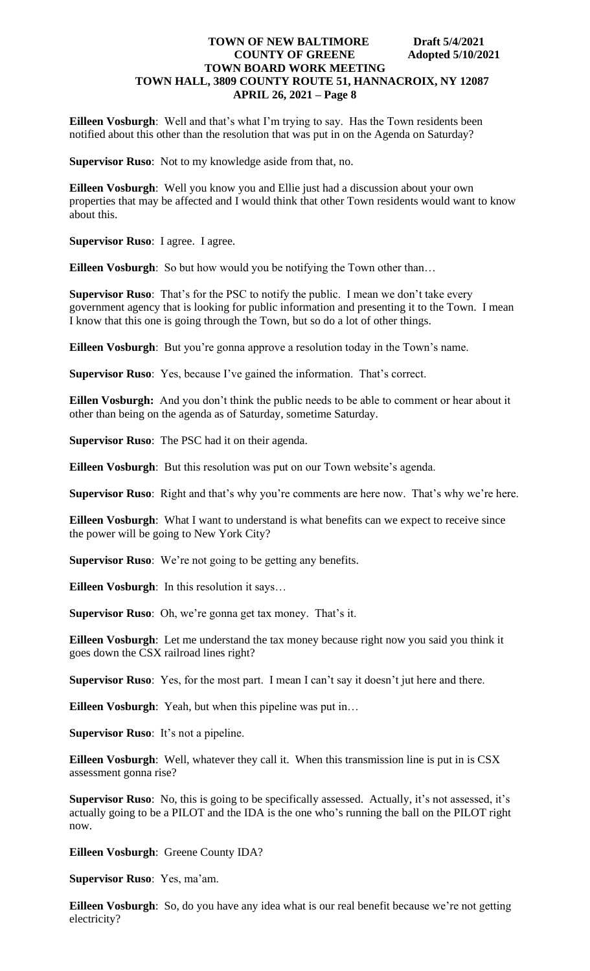**Eilleen Vosburgh**: Well and that's what I'm trying to say. Has the Town residents been notified about this other than the resolution that was put in on the Agenda on Saturday?

**Supervisor Ruso**: Not to my knowledge aside from that, no.

**Eilleen Vosburgh**: Well you know you and Ellie just had a discussion about your own properties that may be affected and I would think that other Town residents would want to know about this.

**Supervisor Ruso**: I agree. I agree.

**Eilleen Vosburgh**: So but how would you be notifying the Town other than…

**Supervisor Ruso**: That's for the PSC to notify the public. I mean we don't take every government agency that is looking for public information and presenting it to the Town. I mean I know that this one is going through the Town, but so do a lot of other things.

**Eilleen Vosburgh**: But you're gonna approve a resolution today in the Town's name.

**Supervisor Ruso**: Yes, because I've gained the information. That's correct.

**Eillen Vosburgh:** And you don't think the public needs to be able to comment or hear about it other than being on the agenda as of Saturday, sometime Saturday.

**Supervisor Ruso**: The PSC had it on their agenda.

**Eilleen Vosburgh**: But this resolution was put on our Town website's agenda.

**Supervisor Ruso**: Right and that's why you're comments are here now. That's why we're here.

**Eilleen Vosburgh**: What I want to understand is what benefits can we expect to receive since the power will be going to New York City?

**Supervisor Ruso**: We're not going to be getting any benefits.

**Eilleen Vosburgh**: In this resolution it says…

**Supervisor Ruso**: Oh, we're gonna get tax money. That's it.

**Eilleen Vosburgh**: Let me understand the tax money because right now you said you think it goes down the CSX railroad lines right?

**Supervisor Ruso**: Yes, for the most part. I mean I can't say it doesn't jut here and there.

**Eilleen Vosburgh**: Yeah, but when this pipeline was put in…

**Supervisor Ruso**: It's not a pipeline.

**Eilleen Vosburgh**: Well, whatever they call it. When this transmission line is put in is CSX assessment gonna rise?

**Supervisor Ruso**: No, this is going to be specifically assessed. Actually, it's not assessed, it's actually going to be a PILOT and the IDA is the one who's running the ball on the PILOT right now.

**Eilleen Vosburgh**: Greene County IDA?

**Supervisor Ruso**: Yes, ma'am.

**Eilleen Vosburgh**: So, do you have any idea what is our real benefit because we're not getting electricity?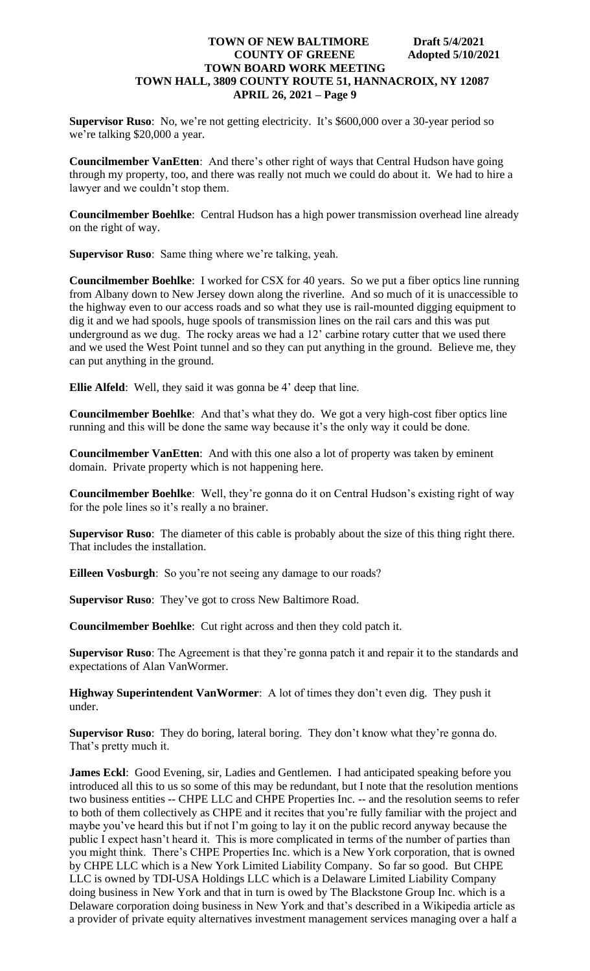**Supervisor Ruso**: No, we're not getting electricity. It's \$600,000 over a 30-year period so we're talking \$20,000 a year.

**Councilmember VanEtten**: And there's other right of ways that Central Hudson have going through my property, too, and there was really not much we could do about it. We had to hire a lawyer and we couldn't stop them.

**Councilmember Boehlke**: Central Hudson has a high power transmission overhead line already on the right of way.

**Supervisor Ruso**: Same thing where we're talking, yeah.

**Councilmember Boehlke**: I worked for CSX for 40 years. So we put a fiber optics line running from Albany down to New Jersey down along the riverline. And so much of it is unaccessible to the highway even to our access roads and so what they use is rail-mounted digging equipment to dig it and we had spools, huge spools of transmission lines on the rail cars and this was put underground as we dug. The rocky areas we had a 12' carbine rotary cutter that we used there and we used the West Point tunnel and so they can put anything in the ground. Believe me, they can put anything in the ground.

**Ellie Alfeld**: Well, they said it was gonna be 4' deep that line.

**Councilmember Boehlke**: And that's what they do. We got a very high-cost fiber optics line running and this will be done the same way because it's the only way it could be done.

**Councilmember VanEtten**: And with this one also a lot of property was taken by eminent domain. Private property which is not happening here.

**Councilmember Boehlke**: Well, they're gonna do it on Central Hudson's existing right of way for the pole lines so it's really a no brainer.

**Supervisor Ruso**: The diameter of this cable is probably about the size of this thing right there. That includes the installation.

**Eilleen Vosburgh**: So you're not seeing any damage to our roads?

**Supervisor Ruso**: They've got to cross New Baltimore Road.

**Councilmember Boehlke**: Cut right across and then they cold patch it.

**Supervisor Ruso**: The Agreement is that they're gonna patch it and repair it to the standards and expectations of Alan VanWormer.

**Highway Superintendent VanWormer**: A lot of times they don't even dig. They push it under.

**Supervisor Ruso**: They do boring, lateral boring. They don't know what they're gonna do. That's pretty much it.

**James Eckl**: Good Evening, sir, Ladies and Gentlemen. I had anticipated speaking before you introduced all this to us so some of this may be redundant, but I note that the resolution mentions two business entities -- CHPE LLC and CHPE Properties Inc. -- and the resolution seems to refer to both of them collectively as CHPE and it recites that you're fully familiar with the project and maybe you've heard this but if not I'm going to lay it on the public record anyway because the public I expect hasn't heard it. This is more complicated in terms of the number of parties than you might think. There's CHPE Properties Inc. which is a New York corporation, that is owned by CHPE LLC which is a New York Limited Liability Company. So far so good. But CHPE LLC is owned by TDI-USA Holdings LLC which is a Delaware Limited Liability Company doing business in New York and that in turn is owed by The Blackstone Group Inc. which is a Delaware corporation doing business in New York and that's described in a Wikipedia article as a provider of private equity alternatives investment management services managing over a half a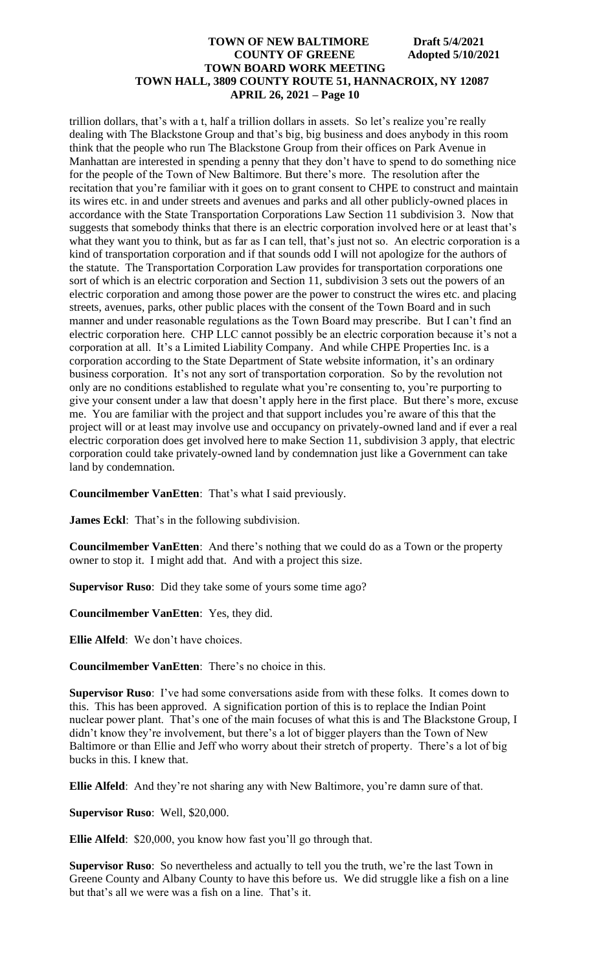trillion dollars, that's with a t, half a trillion dollars in assets. So let's realize you're really dealing with The Blackstone Group and that's big, big business and does anybody in this room think that the people who run The Blackstone Group from their offices on Park Avenue in Manhattan are interested in spending a penny that they don't have to spend to do something nice for the people of the Town of New Baltimore. But there's more. The resolution after the recitation that you're familiar with it goes on to grant consent to CHPE to construct and maintain its wires etc. in and under streets and avenues and parks and all other publicly-owned places in accordance with the State Transportation Corporations Law Section 11 subdivision 3. Now that suggests that somebody thinks that there is an electric corporation involved here or at least that's what they want you to think, but as far as I can tell, that's just not so. An electric corporation is a kind of transportation corporation and if that sounds odd I will not apologize for the authors of the statute. The Transportation Corporation Law provides for transportation corporations one sort of which is an electric corporation and Section 11, subdivision 3 sets out the powers of an electric corporation and among those power are the power to construct the wires etc. and placing streets, avenues, parks, other public places with the consent of the Town Board and in such manner and under reasonable regulations as the Town Board may prescribe. But I can't find an electric corporation here. CHP LLC cannot possibly be an electric corporation because it's not a corporation at all. It's a Limited Liability Company. And while CHPE Properties Inc. is a corporation according to the State Department of State website information, it's an ordinary business corporation. It's not any sort of transportation corporation. So by the revolution not only are no conditions established to regulate what you're consenting to, you're purporting to give your consent under a law that doesn't apply here in the first place. But there's more, excuse me. You are familiar with the project and that support includes you're aware of this that the project will or at least may involve use and occupancy on privately-owned land and if ever a real electric corporation does get involved here to make Section 11, subdivision 3 apply, that electric corporation could take privately-owned land by condemnation just like a Government can take land by condemnation.

**Councilmember VanEtten**: That's what I said previously.

**James Eckl**: That's in the following subdivision.

**Councilmember VanEtten**: And there's nothing that we could do as a Town or the property owner to stop it. I might add that. And with a project this size.

**Supervisor Ruso**: Did they take some of yours some time ago?

**Councilmember VanEtten**: Yes, they did.

**Ellie Alfeld**: We don't have choices.

**Councilmember VanEtten**: There's no choice in this.

**Supervisor Ruso**: I've had some conversations aside from with these folks. It comes down to this. This has been approved. A signification portion of this is to replace the Indian Point nuclear power plant. That's one of the main focuses of what this is and The Blackstone Group, I didn't know they're involvement, but there's a lot of bigger players than the Town of New Baltimore or than Ellie and Jeff who worry about their stretch of property. There's a lot of big bucks in this. I knew that.

**Ellie Alfeld**: And they're not sharing any with New Baltimore, you're damn sure of that.

**Supervisor Ruso**: Well, \$20,000.

**Ellie Alfeld**: \$20,000, you know how fast you'll go through that.

**Supervisor Ruso**: So nevertheless and actually to tell you the truth, we're the last Town in Greene County and Albany County to have this before us. We did struggle like a fish on a line but that's all we were was a fish on a line. That's it.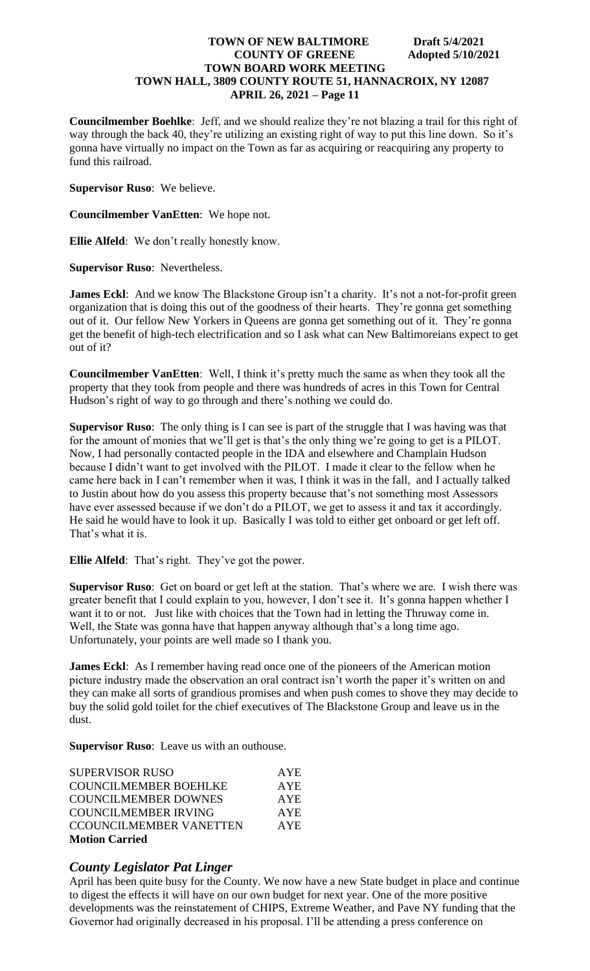**Councilmember Boehlke**: Jeff, and we should realize they're not blazing a trail for this right of way through the back 40, they're utilizing an existing right of way to put this line down. So it's gonna have virtually no impact on the Town as far as acquiring or reacquiring any property to fund this railroad.

**Supervisor Ruso**: We believe.

**Councilmember VanEtten**: We hope not.

**Ellie Alfeld**: We don't really honestly know.

**Supervisor Ruso**: Nevertheless.

**James Eckl**: And we know The Blackstone Group isn't a charity. It's not a not-for-profit green organization that is doing this out of the goodness of their hearts. They're gonna get something out of it. Our fellow New Yorkers in Queens are gonna get something out of it. They're gonna get the benefit of high-tech electrification and so I ask what can New Baltimoreians expect to get out of it?

**Councilmember VanEtten**: Well, I think it's pretty much the same as when they took all the property that they took from people and there was hundreds of acres in this Town for Central Hudson's right of way to go through and there's nothing we could do.

**Supervisor Ruso**: The only thing is I can see is part of the struggle that I was having was that for the amount of monies that we'll get is that's the only thing we're going to get is a PILOT. Now, I had personally contacted people in the IDA and elsewhere and Champlain Hudson because I didn't want to get involved with the PILOT. I made it clear to the fellow when he came here back in I can't remember when it was, I think it was in the fall, and I actually talked to Justin about how do you assess this property because that's not something most Assessors have ever assessed because if we don't do a PILOT, we get to assess it and tax it accordingly. He said he would have to look it up. Basically I was told to either get onboard or get left off. That's what it is.

**Ellie Alfeld**: That's right. They've got the power.

**Supervisor Ruso**: Get on board or get left at the station. That's where we are. I wish there was greater benefit that I could explain to you, however, I don't see it. It's gonna happen whether I want it to or not. Just like with choices that the Town had in letting the Thruway come in. Well, the State was gonna have that happen anyway although that's a long time ago. Unfortunately, your points are well made so I thank you.

**James Eckl**: As I remember having read once one of the pioneers of the American motion picture industry made the observation an oral contract isn't worth the paper it's written on and they can make all sorts of grandious promises and when push comes to shove they may decide to buy the solid gold toilet for the chief executives of The Blackstone Group and leave us in the dust.

**Supervisor Ruso**: Leave us with an outhouse.

| <b>SUPERVISOR RUSO</b>         | <b>AYE</b> |
|--------------------------------|------------|
| <b>COUNCILMEMBER BOEHLKE</b>   | <b>AYE</b> |
| <b>COUNCILMEMBER DOWNES</b>    | <b>AYE</b> |
| <b>COUNCILMEMBER IRVING</b>    | <b>AYE</b> |
| <b>CCOUNCILMEMBER VANETTEN</b> | <b>AYE</b> |
| <b>Motion Carried</b>          |            |

# *County Legislator Pat Linger*

April has been quite busy for the County. We now have a new State budget in place and continue to digest the effects it will have on our own budget for next year. One of the more positive developments was the reinstatement of CHIPS, Extreme Weather, and Pave NY funding that the Governor had originally decreased in his proposal. I'll be attending a press conference on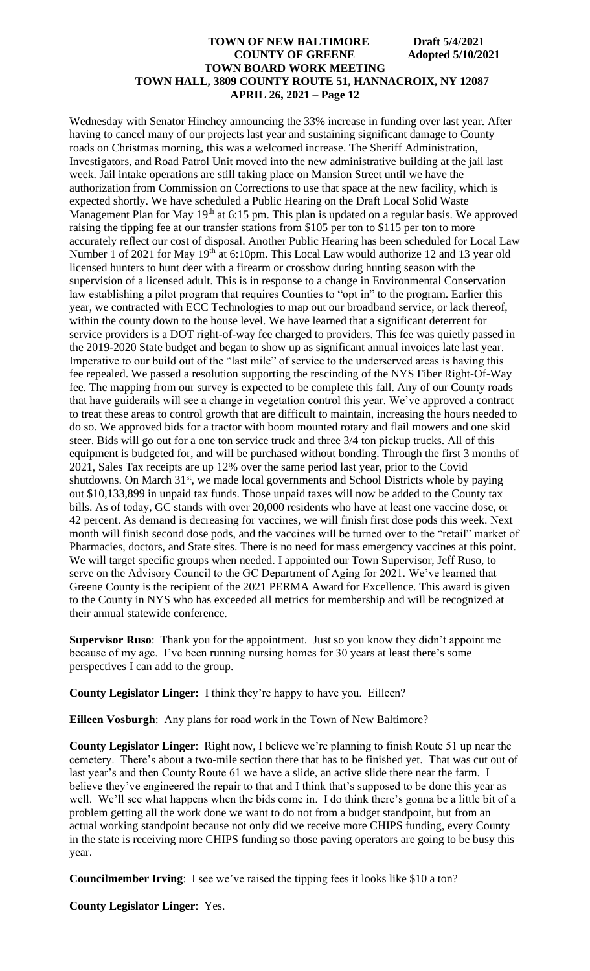Wednesday with Senator Hinchey announcing the 33% increase in funding over last year. After having to cancel many of our projects last year and sustaining significant damage to County roads on Christmas morning, this was a welcomed increase. The Sheriff Administration, Investigators, and Road Patrol Unit moved into the new administrative building at the jail last week. Jail intake operations are still taking place on Mansion Street until we have the authorization from Commission on Corrections to use that space at the new facility, which is expected shortly. We have scheduled a Public Hearing on the Draft Local Solid Waste Management Plan for May 19<sup>th</sup> at 6:15 pm. This plan is updated on a regular basis. We approved raising the tipping fee at our transfer stations from \$105 per ton to \$115 per ton to more accurately reflect our cost of disposal. Another Public Hearing has been scheduled for Local Law Number 1 of 2021 for May 19<sup>th</sup> at 6:10pm. This Local Law would authorize 12 and 13 year old licensed hunters to hunt deer with a firearm or crossbow during hunting season with the supervision of a licensed adult. This is in response to a change in Environmental Conservation law establishing a pilot program that requires Counties to "opt in" to the program. Earlier this year, we contracted with ECC Technologies to map out our broadband service, or lack thereof, within the county down to the house level. We have learned that a significant deterrent for service providers is a DOT right-of-way fee charged to providers. This fee was quietly passed in the 2019-2020 State budget and began to show up as significant annual invoices late last year. Imperative to our build out of the "last mile" of service to the underserved areas is having this fee repealed. We passed a resolution supporting the rescinding of the NYS Fiber Right-Of-Way fee. The mapping from our survey is expected to be complete this fall. Any of our County roads that have guiderails will see a change in vegetation control this year. We've approved a contract to treat these areas to control growth that are difficult to maintain, increasing the hours needed to do so. We approved bids for a tractor with boom mounted rotary and flail mowers and one skid steer. Bids will go out for a one ton service truck and three 3/4 ton pickup trucks. All of this equipment is budgeted for, and will be purchased without bonding. Through the first 3 months of 2021, Sales Tax receipts are up 12% over the same period last year, prior to the Covid shutdowns. On March 31<sup>st</sup>, we made local governments and School Districts whole by paying out \$10,133,899 in unpaid tax funds. Those unpaid taxes will now be added to the County tax bills. As of today, GC stands with over 20,000 residents who have at least one vaccine dose, or 42 percent. As demand is decreasing for vaccines, we will finish first dose pods this week. Next month will finish second dose pods, and the vaccines will be turned over to the "retail" market of Pharmacies, doctors, and State sites. There is no need for mass emergency vaccines at this point. We will target specific groups when needed. I appointed our Town Supervisor, Jeff Ruso, to serve on the Advisory Council to the GC Department of Aging for 2021. We've learned that Greene County is the recipient of the 2021 PERMA Award for Excellence. This award is given to the County in NYS who has exceeded all metrics for membership and will be recognized at their annual statewide conference.

**Supervisor Ruso**: Thank you for the appointment. Just so you know they didn't appoint me because of my age. I've been running nursing homes for 30 years at least there's some perspectives I can add to the group.

**County Legislator Linger:** I think they're happy to have you. Eilleen?

**Eilleen Vosburgh**: Any plans for road work in the Town of New Baltimore?

**County Legislator Linger**: Right now, I believe we're planning to finish Route 51 up near the cemetery. There's about a two-mile section there that has to be finished yet. That was cut out of last year's and then County Route 61 we have a slide, an active slide there near the farm. I believe they've engineered the repair to that and I think that's supposed to be done this year as well. We'll see what happens when the bids come in. I do think there's gonna be a little bit of a problem getting all the work done we want to do not from a budget standpoint, but from an actual working standpoint because not only did we receive more CHIPS funding, every County in the state is receiving more CHIPS funding so those paving operators are going to be busy this year.

**Councilmember Irving**: I see we've raised the tipping fees it looks like \$10 a ton?

**County Legislator Linger**: Yes.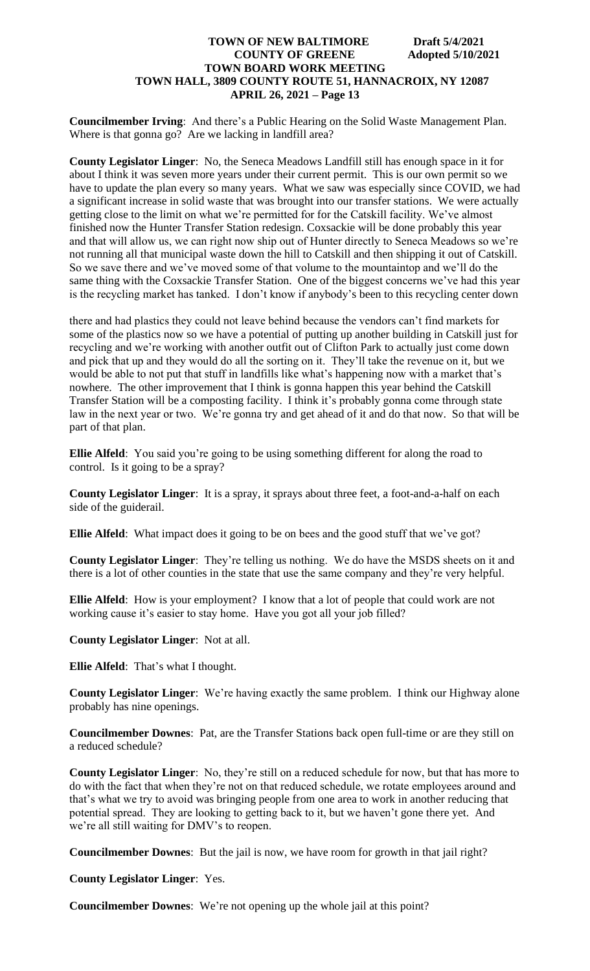**Councilmember Irving**: And there's a Public Hearing on the Solid Waste Management Plan. Where is that gonna go? Are we lacking in landfill area?

**County Legislator Linger**: No, the Seneca Meadows Landfill still has enough space in it for about I think it was seven more years under their current permit. This is our own permit so we have to update the plan every so many years. What we saw was especially since COVID, we had a significant increase in solid waste that was brought into our transfer stations. We were actually getting close to the limit on what we're permitted for for the Catskill facility. We've almost finished now the Hunter Transfer Station redesign. Coxsackie will be done probably this year and that will allow us, we can right now ship out of Hunter directly to Seneca Meadows so we're not running all that municipal waste down the hill to Catskill and then shipping it out of Catskill. So we save there and we've moved some of that volume to the mountaintop and we'll do the same thing with the Coxsackie Transfer Station. One of the biggest concerns we've had this year is the recycling market has tanked. I don't know if anybody's been to this recycling center down

there and had plastics they could not leave behind because the vendors can't find markets for some of the plastics now so we have a potential of putting up another building in Catskill just for recycling and we're working with another outfit out of Clifton Park to actually just come down and pick that up and they would do all the sorting on it. They'll take the revenue on it, but we would be able to not put that stuff in landfills like what's happening now with a market that's nowhere. The other improvement that I think is gonna happen this year behind the Catskill Transfer Station will be a composting facility. I think it's probably gonna come through state law in the next year or two. We're gonna try and get ahead of it and do that now. So that will be part of that plan.

**Ellie Alfeld**: You said you're going to be using something different for along the road to control. Is it going to be a spray?

**County Legislator Linger**: It is a spray, it sprays about three feet, a foot-and-a-half on each side of the guiderail.

**Ellie Alfeld**: What impact does it going to be on bees and the good stuff that we've got?

**County Legislator Linger**: They're telling us nothing. We do have the MSDS sheets on it and there is a lot of other counties in the state that use the same company and they're very helpful.

**Ellie Alfeld**: How is your employment? I know that a lot of people that could work are not working cause it's easier to stay home. Have you got all your job filled?

**County Legislator Linger**: Not at all.

**Ellie Alfeld**: That's what I thought.

**County Legislator Linger**: We're having exactly the same problem. I think our Highway alone probably has nine openings.

**Councilmember Downes**: Pat, are the Transfer Stations back open full-time or are they still on a reduced schedule?

**County Legislator Linger**: No, they're still on a reduced schedule for now, but that has more to do with the fact that when they're not on that reduced schedule, we rotate employees around and that's what we try to avoid was bringing people from one area to work in another reducing that potential spread. They are looking to getting back to it, but we haven't gone there yet. And we're all still waiting for DMV's to reopen.

**Councilmember Downes**: But the jail is now, we have room for growth in that jail right?

**County Legislator Linger**: Yes.

**Councilmember Downes**: We're not opening up the whole jail at this point?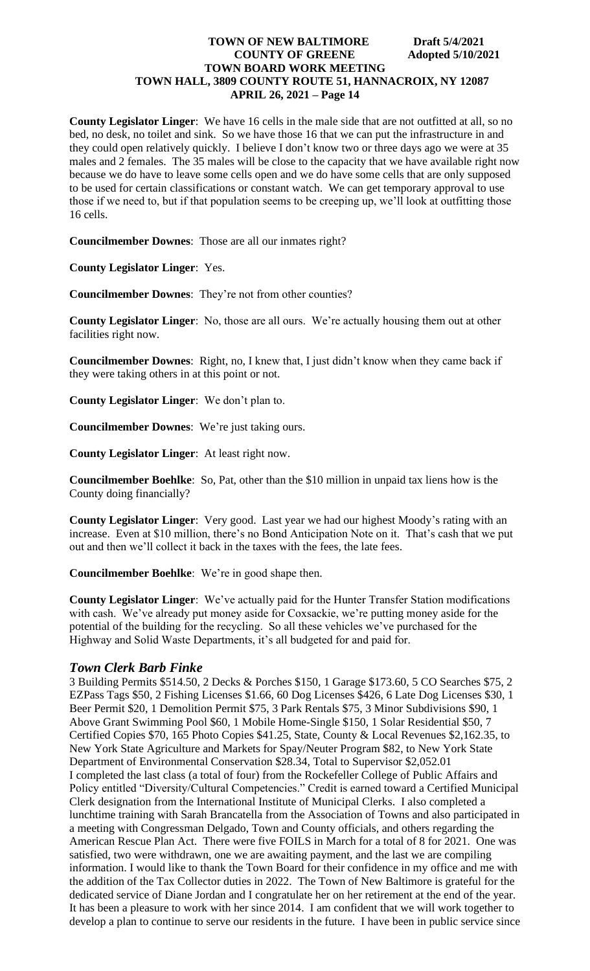**County Legislator Linger**: We have 16 cells in the male side that are not outfitted at all, so no bed, no desk, no toilet and sink. So we have those 16 that we can put the infrastructure in and they could open relatively quickly. I believe I don't know two or three days ago we were at 35 males and 2 females. The 35 males will be close to the capacity that we have available right now because we do have to leave some cells open and we do have some cells that are only supposed to be used for certain classifications or constant watch. We can get temporary approval to use those if we need to, but if that population seems to be creeping up, we'll look at outfitting those 16 cells.

**Councilmember Downes**: Those are all our inmates right?

**County Legislator Linger**: Yes.

**Councilmember Downes**: They're not from other counties?

**County Legislator Linger**: No, those are all ours. We're actually housing them out at other facilities right now.

**Councilmember Downes**: Right, no, I knew that, I just didn't know when they came back if they were taking others in at this point or not.

**County Legislator Linger**: We don't plan to.

**Councilmember Downes**: We're just taking ours.

**County Legislator Linger**: At least right now.

**Councilmember Boehlke**: So, Pat, other than the \$10 million in unpaid tax liens how is the County doing financially?

**County Legislator Linger**: Very good. Last year we had our highest Moody's rating with an increase. Even at \$10 million, there's no Bond Anticipation Note on it. That's cash that we put out and then we'll collect it back in the taxes with the fees, the late fees.

**Councilmember Boehlke**: We're in good shape then.

**County Legislator Linger**: We've actually paid for the Hunter Transfer Station modifications with cash. We've already put money aside for Coxsackie, we're putting money aside for the potential of the building for the recycling. So all these vehicles we've purchased for the Highway and Solid Waste Departments, it's all budgeted for and paid for.

# *Town Clerk Barb Finke*

3 Building Permits \$514.50, 2 Decks & Porches \$150, 1 Garage \$173.60, 5 CO Searches \$75, 2 EZPass Tags \$50, 2 Fishing Licenses \$1.66, 60 Dog Licenses \$426, 6 Late Dog Licenses \$30, 1 Beer Permit \$20, 1 Demolition Permit \$75, 3 Park Rentals \$75, 3 Minor Subdivisions \$90, 1 Above Grant Swimming Pool \$60, 1 Mobile Home-Single \$150, 1 Solar Residential \$50, 7 Certified Copies \$70, 165 Photo Copies \$41.25, State, County & Local Revenues \$2,162.35, to New York State Agriculture and Markets for Spay/Neuter Program \$82, to New York State Department of Environmental Conservation \$28.34, Total to Supervisor \$2,052.01 I completed the last class (a total of four) from the Rockefeller College of Public Affairs and Policy entitled "Diversity/Cultural Competencies." Credit is earned toward a Certified Municipal Clerk designation from the International Institute of Municipal Clerks. I also completed a lunchtime training with Sarah Brancatella from the Association of Towns and also participated in a meeting with Congressman Delgado, Town and County officials, and others regarding the American Rescue Plan Act. There were five FOILS in March for a total of 8 for 2021. One was satisfied, two were withdrawn, one we are awaiting payment, and the last we are compiling information. I would like to thank the Town Board for their confidence in my office and me with the addition of the Tax Collector duties in 2022. The Town of New Baltimore is grateful for the dedicated service of Diane Jordan and I congratulate her on her retirement at the end of the year. It has been a pleasure to work with her since 2014. I am confident that we will work together to develop a plan to continue to serve our residents in the future. I have been in public service since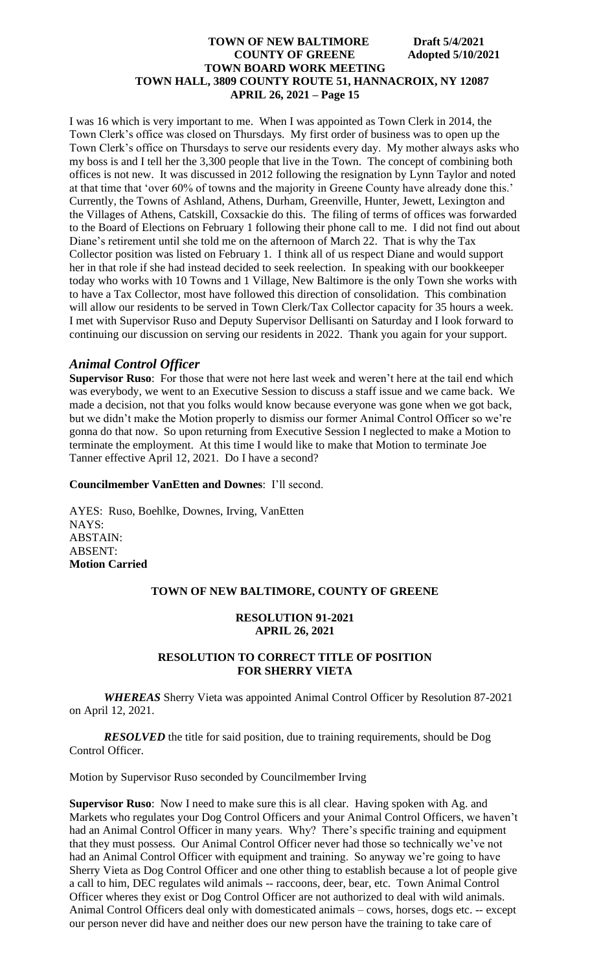I was 16 which is very important to me. When I was appointed as Town Clerk in 2014, the Town Clerk's office was closed on Thursdays. My first order of business was to open up the Town Clerk's office on Thursdays to serve our residents every day. My mother always asks who my boss is and I tell her the 3,300 people that live in the Town. The concept of combining both offices is not new. It was discussed in 2012 following the resignation by Lynn Taylor and noted at that time that 'over 60% of towns and the majority in Greene County have already done this.' Currently, the Towns of Ashland, Athens, Durham, Greenville, Hunter, Jewett, Lexington and the Villages of Athens, Catskill, Coxsackie do this. The filing of terms of offices was forwarded to the Board of Elections on February 1 following their phone call to me. I did not find out about Diane's retirement until she told me on the afternoon of March 22. That is why the Tax Collector position was listed on February 1. I think all of us respect Diane and would support her in that role if she had instead decided to seek reelection. In speaking with our bookkeeper today who works with 10 Towns and 1 Village, New Baltimore is the only Town she works with to have a Tax Collector, most have followed this direction of consolidation. This combination will allow our residents to be served in Town Clerk/Tax Collector capacity for 35 hours a week. I met with Supervisor Ruso and Deputy Supervisor Dellisanti on Saturday and I look forward to continuing our discussion on serving our residents in 2022. Thank you again for your support.

# *Animal Control Officer*

**Supervisor Ruso**: For those that were not here last week and weren't here at the tail end which was everybody, we went to an Executive Session to discuss a staff issue and we came back. We made a decision, not that you folks would know because everyone was gone when we got back, but we didn't make the Motion properly to dismiss our former Animal Control Officer so we're gonna do that now. So upon returning from Executive Session I neglected to make a Motion to terminate the employment. At this time I would like to make that Motion to terminate Joe Tanner effective April 12, 2021. Do I have a second?

#### **Councilmember VanEtten and Downes**: I'll second.

AYES: Ruso, Boehlke, Downes, Irving, VanEtten NAYS: ABSTAIN: ABSENT: **Motion Carried**

#### **TOWN OF NEW BALTIMORE, COUNTY OF GREENE**

## **RESOLUTION 91-2021 APRIL 26, 2021**

# **RESOLUTION TO CORRECT TITLE OF POSITION FOR SHERRY VIETA**

*WHEREAS* Sherry Vieta was appointed Animal Control Officer by Resolution 87-2021 on April 12, 2021.

*RESOLVED* the title for said position, due to training requirements, should be Dog Control Officer.

Motion by Supervisor Ruso seconded by Councilmember Irving

**Supervisor Ruso**: Now I need to make sure this is all clear. Having spoken with Ag. and Markets who regulates your Dog Control Officers and your Animal Control Officers, we haven't had an Animal Control Officer in many years. Why? There's specific training and equipment that they must possess. Our Animal Control Officer never had those so technically we've not had an Animal Control Officer with equipment and training. So anyway we're going to have Sherry Vieta as Dog Control Officer and one other thing to establish because a lot of people give a call to him, DEC regulates wild animals -- raccoons, deer, bear, etc. Town Animal Control Officer wheres they exist or Dog Control Officer are not authorized to deal with wild animals. Animal Control Officers deal only with domesticated animals – cows, horses, dogs etc. -- except our person never did have and neither does our new person have the training to take care of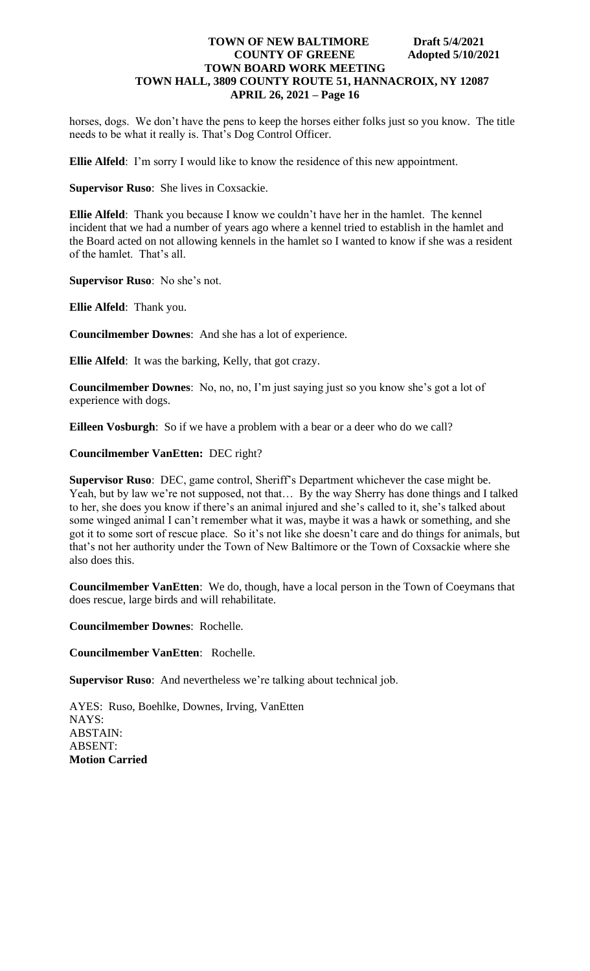horses, dogs. We don't have the pens to keep the horses either folks just so you know. The title needs to be what it really is. That's Dog Control Officer.

**Ellie Alfeld**: I'm sorry I would like to know the residence of this new appointment.

**Supervisor Ruso**: She lives in Coxsackie.

**Ellie Alfeld**: Thank you because I know we couldn't have her in the hamlet. The kennel incident that we had a number of years ago where a kennel tried to establish in the hamlet and the Board acted on not allowing kennels in the hamlet so I wanted to know if she was a resident of the hamlet. That's all.

**Supervisor Ruso**: No she's not.

**Ellie Alfeld**: Thank you.

**Councilmember Downes**: And she has a lot of experience.

**Ellie Alfeld**: It was the barking, Kelly, that got crazy.

**Councilmember Downes**: No, no, no, I'm just saying just so you know she's got a lot of experience with dogs.

**Eilleen Vosburgh**: So if we have a problem with a bear or a deer who do we call?

**Councilmember VanEtten:** DEC right?

**Supervisor Ruso**: DEC, game control, Sheriff's Department whichever the case might be. Yeah, but by law we're not supposed, not that… By the way Sherry has done things and I talked to her, she does you know if there's an animal injured and she's called to it, she's talked about some winged animal I can't remember what it was, maybe it was a hawk or something, and she got it to some sort of rescue place. So it's not like she doesn't care and do things for animals, but that's not her authority under the Town of New Baltimore or the Town of Coxsackie where she also does this.

**Councilmember VanEtten**: We do, though, have a local person in the Town of Coeymans that does rescue, large birds and will rehabilitate.

**Councilmember Downes**: Rochelle.

**Councilmember VanEtten**: Rochelle.

**Supervisor Ruso**: And nevertheless we're talking about technical job.

AYES: Ruso, Boehlke, Downes, Irving, VanEtten NAYS: ABSTAIN: ABSENT: **Motion Carried**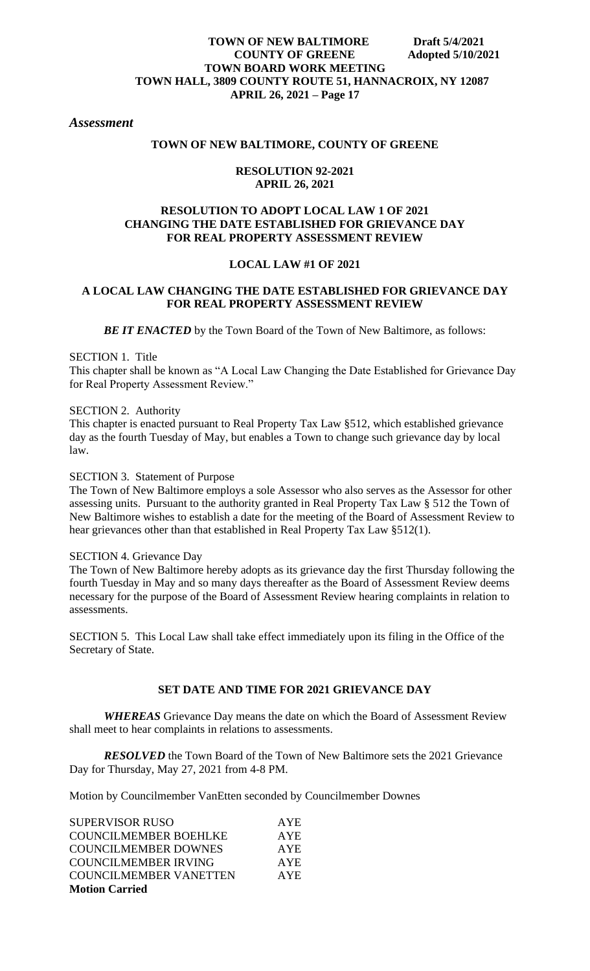# *Assessment*

# **TOWN OF NEW BALTIMORE, COUNTY OF GREENE**

#### **RESOLUTION 92-2021 APRIL 26, 2021**

# **RESOLUTION TO ADOPT LOCAL LAW 1 OF 2021 CHANGING THE DATE ESTABLISHED FOR GRIEVANCE DAY FOR REAL PROPERTY ASSESSMENT REVIEW**

## **LOCAL LAW #1 OF 2021**

## **A LOCAL LAW CHANGING THE DATE ESTABLISHED FOR GRIEVANCE DAY FOR REAL PROPERTY ASSESSMENT REVIEW**

**BE IT ENACTED** by the Town Board of the Town of New Baltimore, as follows:

#### SECTION 1. Title

This chapter shall be known as "A Local Law Changing the Date Established for Grievance Day for Real Property Assessment Review."

#### SECTION 2. Authority

This chapter is enacted pursuant to Real Property Tax Law §512, which established grievance day as the fourth Tuesday of May, but enables a Town to change such grievance day by local law.

# SECTION 3. Statement of Purpose

The Town of New Baltimore employs a sole Assessor who also serves as the Assessor for other assessing units. Pursuant to the authority granted in Real Property Tax Law § 512 the Town of New Baltimore wishes to establish a date for the meeting of the Board of Assessment Review to hear grievances other than that established in Real Property Tax Law §512(1).

#### SECTION 4. Grievance Day

The Town of New Baltimore hereby adopts as its grievance day the first Thursday following the fourth Tuesday in May and so many days thereafter as the Board of Assessment Review deems necessary for the purpose of the Board of Assessment Review hearing complaints in relation to assessments.

SECTION 5. This Local Law shall take effect immediately upon its filing in the Office of the Secretary of State.

# **SET DATE AND TIME FOR 2021 GRIEVANCE DAY**

*WHEREAS* Grievance Day means the date on which the Board of Assessment Review shall meet to hear complaints in relations to assessments.

*RESOLVED* the Town Board of the Town of New Baltimore sets the 2021 Grievance Day for Thursday, May 27, 2021 from 4-8 PM.

Motion by Councilmember VanEtten seconded by Councilmember Downes

| <b>SUPERVISOR RUSO</b>        | <b>AYE</b> |
|-------------------------------|------------|
| <b>COUNCILMEMBER BOEHLKE</b>  | <b>AYE</b> |
| <b>COUNCILMEMBER DOWNES</b>   | <b>AYE</b> |
| <b>COUNCILMEMBER IRVING</b>   | <b>AYE</b> |
| <b>COUNCILMEMBER VANETTEN</b> | <b>AYE</b> |
| <b>Motion Carried</b>         |            |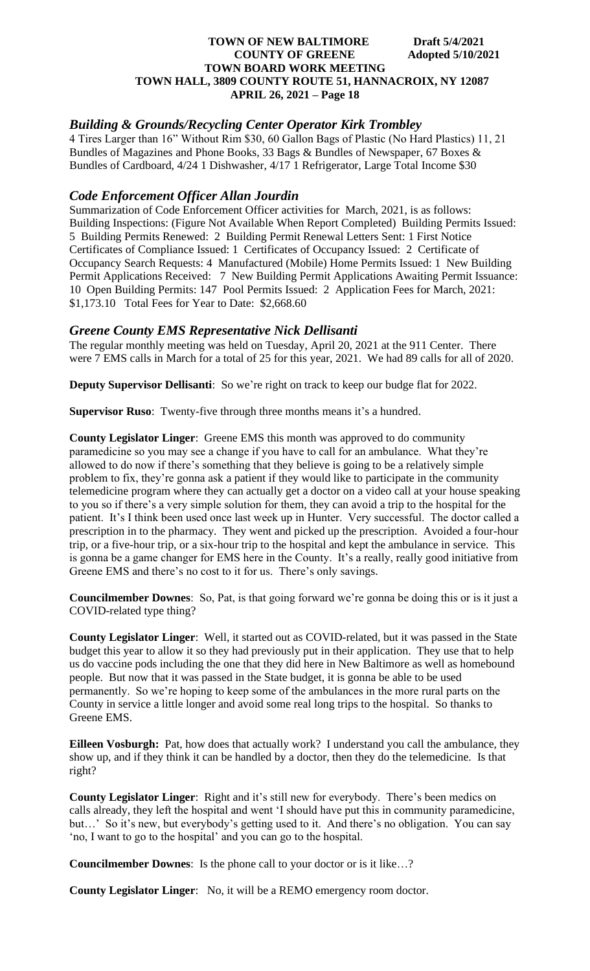# *Building & Grounds/Recycling Center Operator Kirk Trombley*

4 Tires Larger than 16" Without Rim \$30, 60 Gallon Bags of Plastic (No Hard Plastics) 11, 21 Bundles of Magazines and Phone Books, 33 Bags & Bundles of Newspaper, 67 Boxes & Bundles of Cardboard, 4/24 1 Dishwasher, 4/17 1 Refrigerator, Large Total Income \$30

# *Code Enforcement Officer Allan Jourdin*

Summarization of Code Enforcement Officer activities for March, 2021, is as follows: Building Inspections: (Figure Not Available When Report Completed) Building Permits Issued: 5 Building Permits Renewed: 2 Building Permit Renewal Letters Sent: 1 First Notice Certificates of Compliance Issued: 1 Certificates of Occupancy Issued: 2 Certificate of Occupancy Search Requests: 4 Manufactured (Mobile) Home Permits Issued: 1 New Building Permit Applications Received: 7 New Building Permit Applications Awaiting Permit Issuance: 10 Open Building Permits: 147 Pool Permits Issued: 2 Application Fees for March, 2021: \$1,173.10 Total Fees for Year to Date: \$2,668.60

# *Greene County EMS Representative Nick Dellisanti*

The regular monthly meeting was held on Tuesday, April 20, 2021 at the 911 Center. There were 7 EMS calls in March for a total of 25 for this year, 2021. We had 89 calls for all of 2020.

**Deputy Supervisor Dellisanti:** So we're right on track to keep our budge flat for 2022.

**Supervisor Ruso**: Twenty-five through three months means it's a hundred.

**County Legislator Linger**: Greene EMS this month was approved to do community paramedicine so you may see a change if you have to call for an ambulance. What they're allowed to do now if there's something that they believe is going to be a relatively simple problem to fix, they're gonna ask a patient if they would like to participate in the community telemedicine program where they can actually get a doctor on a video call at your house speaking to you so if there's a very simple solution for them, they can avoid a trip to the hospital for the patient. It's I think been used once last week up in Hunter. Very successful. The doctor called a prescription in to the pharmacy. They went and picked up the prescription. Avoided a four-hour trip, or a five-hour trip, or a six-hour trip to the hospital and kept the ambulance in service. This is gonna be a game changer for EMS here in the County. It's a really, really good initiative from Greene EMS and there's no cost to it for us. There's only savings.

**Councilmember Downes**: So, Pat, is that going forward we're gonna be doing this or is it just a COVID-related type thing?

**County Legislator Linger**: Well, it started out as COVID-related, but it was passed in the State budget this year to allow it so they had previously put in their application. They use that to help us do vaccine pods including the one that they did here in New Baltimore as well as homebound people. But now that it was passed in the State budget, it is gonna be able to be used permanently. So we're hoping to keep some of the ambulances in the more rural parts on the County in service a little longer and avoid some real long trips to the hospital. So thanks to Greene EMS.

**Eilleen Vosburgh:** Pat, how does that actually work? I understand you call the ambulance, they show up, and if they think it can be handled by a doctor, then they do the telemedicine. Is that right?

**County Legislator Linger**: Right and it's still new for everybody. There's been medics on calls already, they left the hospital and went 'I should have put this in community paramedicine, but…' So it's new, but everybody's getting used to it. And there's no obligation. You can say 'no, I want to go to the hospital' and you can go to the hospital.

**Councilmember Downes**: Is the phone call to your doctor or is it like…?

**County Legislator Linger**: No, it will be a REMO emergency room doctor.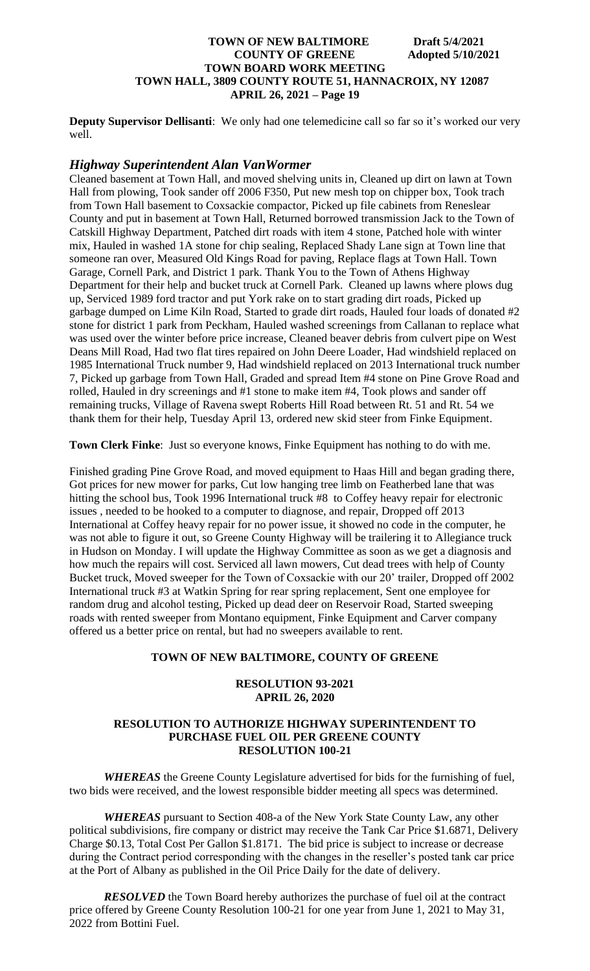**Deputy Supervisor Dellisanti**: We only had one telemedicine call so far so it's worked our very well.

# *Highway Superintendent Alan VanWormer*

Cleaned basement at Town Hall, and moved shelving units in, Cleaned up dirt on lawn at Town Hall from plowing, Took sander off 2006 F350, Put new mesh top on chipper box, Took trach from Town Hall basement to Coxsackie compactor, Picked up file cabinets from Reneslear County and put in basement at Town Hall, Returned borrowed transmission Jack to the Town of Catskill Highway Department, Patched dirt roads with item 4 stone, Patched hole with winter mix, Hauled in washed 1A stone for chip sealing, Replaced Shady Lane sign at Town line that someone ran over, Measured Old Kings Road for paving, Replace flags at Town Hall. Town Garage, Cornell Park, and District 1 park. Thank You to the Town of Athens Highway Department for their help and bucket truck at Cornell Park. Cleaned up lawns where plows dug up, Serviced 1989 ford tractor and put York rake on to start grading dirt roads, Picked up garbage dumped on Lime Kiln Road, Started to grade dirt roads, Hauled four loads of donated #2 stone for district 1 park from Peckham, Hauled washed screenings from Callanan to replace what was used over the winter before price increase, Cleaned beaver debris from culvert pipe on West Deans Mill Road, Had two flat tires repaired on John Deere Loader, Had windshield replaced on 1985 International Truck number 9, Had windshield replaced on 2013 International truck number 7, Picked up garbage from Town Hall, Graded and spread Item #4 stone on Pine Grove Road and rolled, Hauled in dry screenings and #1 stone to make item #4, Took plows and sander off remaining trucks, Village of Ravena swept Roberts Hill Road between Rt. 51 and Rt. 54 we thank them for their help, Tuesday April 13, ordered new skid steer from Finke Equipment.

**Town Clerk Finke**: Just so everyone knows, Finke Equipment has nothing to do with me.

Finished grading Pine Grove Road, and moved equipment to Haas Hill and began grading there, Got prices for new mower for parks, Cut low hanging tree limb on Featherbed lane that was hitting the school bus, Took 1996 International truck #8 to Coffey heavy repair for electronic issues , needed to be hooked to a computer to diagnose, and repair, Dropped off 2013 International at Coffey heavy repair for no power issue, it showed no code in the computer, he was not able to figure it out, so Greene County Highway will be trailering it to Allegiance truck in Hudson on Monday. I will update the Highway Committee as soon as we get a diagnosis and how much the repairs will cost. Serviced all lawn mowers, Cut dead trees with help of County Bucket truck, Moved sweeper for the Town of Coxsackie with our 20' trailer, Dropped off 2002 International truck #3 at Watkin Spring for rear spring replacement, Sent one employee for random drug and alcohol testing, Picked up dead deer on Reservoir Road, Started sweeping roads with rented sweeper from Montano equipment, Finke Equipment and Carver company offered us a better price on rental, but had no sweepers available to rent.

## **TOWN OF NEW BALTIMORE, COUNTY OF GREENE**

#### **RESOLUTION 93-2021 APRIL 26, 2020**

# **RESOLUTION TO AUTHORIZE HIGHWAY SUPERINTENDENT TO PURCHASE FUEL OIL PER GREENE COUNTY RESOLUTION 100-21**

*WHEREAS* the Greene County Legislature advertised for bids for the furnishing of fuel, two bids were received, and the lowest responsible bidder meeting all specs was determined.

*WHEREAS* pursuant to Section 408-a of the New York State County Law, any other political subdivisions, fire company or district may receive the Tank Car Price \$1.6871, Delivery Charge \$0.13, Total Cost Per Gallon \$1.8171. The bid price is subject to increase or decrease during the Contract period corresponding with the changes in the reseller's posted tank car price at the Port of Albany as published in the Oil Price Daily for the date of delivery.

*RESOLVED* the Town Board hereby authorizes the purchase of fuel oil at the contract price offered by Greene County Resolution 100-21 for one year from June 1, 2021 to May 31, 2022 from Bottini Fuel.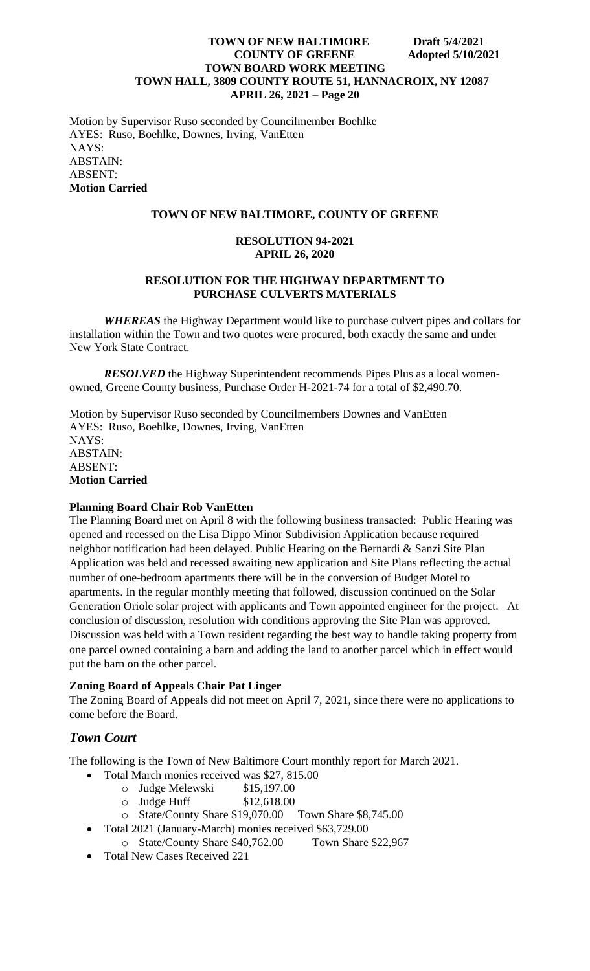Motion by Supervisor Ruso seconded by Councilmember Boehlke AYES: Ruso, Boehlke, Downes, Irving, VanEtten NAYS: ABSTAIN: ABSENT: **Motion Carried**

# **TOWN OF NEW BALTIMORE, COUNTY OF GREENE**

## **RESOLUTION 94-2021 APRIL 26, 2020**

# **RESOLUTION FOR THE HIGHWAY DEPARTMENT TO PURCHASE CULVERTS MATERIALS**

*WHEREAS* the Highway Department would like to purchase culvert pipes and collars for installation within the Town and two quotes were procured, both exactly the same and under New York State Contract.

*RESOLVED* the Highway Superintendent recommends Pipes Plus as a local womenowned, Greene County business, Purchase Order H-2021-74 for a total of \$2,490.70.

Motion by Supervisor Ruso seconded by Councilmembers Downes and VanEtten AYES: Ruso, Boehlke, Downes, Irving, VanEtten NAYS: ABSTAIN: ABSENT: **Motion Carried**

# **Planning Board Chair Rob VanEtten**

The Planning Board met on April 8 with the following business transacted: Public Hearing was opened and recessed on the Lisa Dippo Minor Subdivision Application because required neighbor notification had been delayed. Public Hearing on the Bernardi & Sanzi Site Plan Application was held and recessed awaiting new application and Site Plans reflecting the actual number of one-bedroom apartments there will be in the conversion of Budget Motel to apartments. In the regular monthly meeting that followed, discussion continued on the Solar Generation Oriole solar project with applicants and Town appointed engineer for the project. At conclusion of discussion, resolution with conditions approving the Site Plan was approved. Discussion was held with a Town resident regarding the best way to handle taking property from one parcel owned containing a barn and adding the land to another parcel which in effect would put the barn on the other parcel.

# **Zoning Board of Appeals Chair Pat Linger**

The Zoning Board of Appeals did not meet on April 7, 2021, since there were no applications to come before the Board.

# *Town Court*

The following is the Town of New Baltimore Court monthly report for March 2021.

- Total March monies received was \$27, 815.00
	- o Judge Melewski \$15,197.00
	- o Judge Huff \$12,618.00
	- o State/County Share \$19,070.00 Town Share \$8,745.00
- Total 2021 (January-March) monies received \$63,729.00
- o State/County Share \$40,762.00 Town Share \$22,967
- Total New Cases Received 221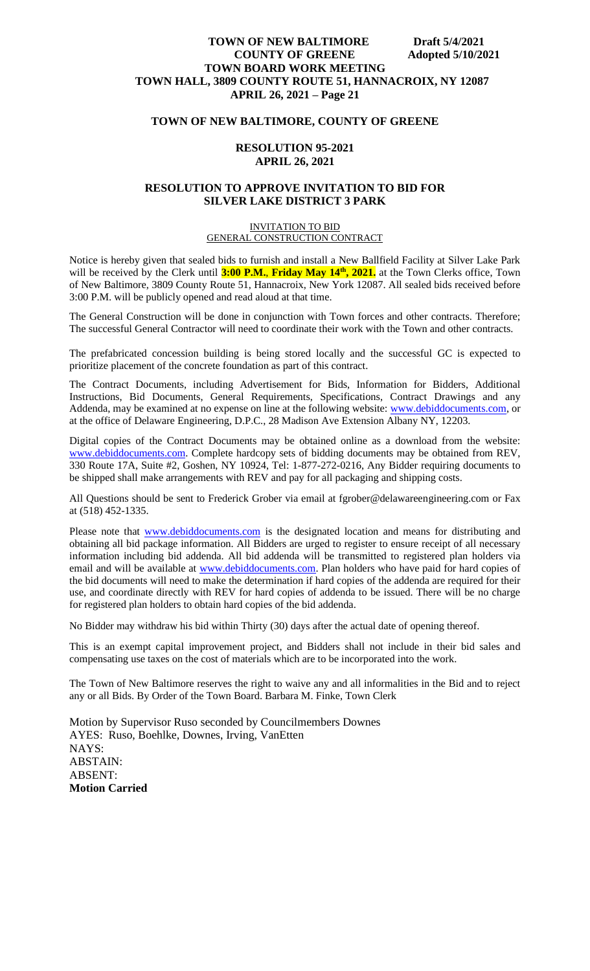#### **TOWN OF NEW BALTIMORE, COUNTY OF GREENE**

#### **RESOLUTION 95-2021 APRIL 26, 2021**

#### **RESOLUTION TO APPROVE INVITATION TO BID FOR SILVER LAKE DISTRICT 3 PARK**

#### INVITATION TO BID GENERAL CONSTRUCTION CONTRACT

Notice is hereby given that sealed bids to furnish and install a New Ballfield Facility at Silver Lake Park will be received by the Clerk until **3:00 P.M.**, **Friday May 14th, 2021.** at the Town Clerks office, Town of New Baltimore, 3809 County Route 51, Hannacroix, New York 12087. All sealed bids received before 3:00 P.M. will be publicly opened and read aloud at that time.

The General Construction will be done in conjunction with Town forces and other contracts. Therefore; The successful General Contractor will need to coordinate their work with the Town and other contracts.

The prefabricated concession building is being stored locally and the successful GC is expected to prioritize placement of the concrete foundation as part of this contract.

The Contract Documents, including Advertisement for Bids, Information for Bidders, Additional Instructions, Bid Documents, General Requirements, Specifications, Contract Drawings and any Addenda, may be examined at no expense on line at the following website: [www.debiddocuments.com,](http://www.debiddocuments.com/) or at the office of Delaware Engineering, D.P.C., 28 Madison Ave Extension Albany NY, 12203.

Digital copies of the Contract Documents may be obtained online as a download from the website: [www.debiddocuments.com.](http://www.debiddocuments.com/) Complete hardcopy sets of bidding documents may be obtained from REV, 330 Route 17A, Suite #2, Goshen, NY 10924, Tel: 1-877-272-0216, Any Bidder requiring documents to be shipped shall make arrangements with REV and pay for all packaging and shipping costs.

All Questions should be sent to Frederick Grober via email at fgrober@delawareengineering.com or Fax at (518) 452-1335.

Please note that **[www.debiddocuments.com](http://www.debiddocuments.com/)** is the designated location and means for distributing and obtaining all bid package information. All Bidders are urged to register to ensure receipt of all necessary information including bid addenda. All bid addenda will be transmitted to registered plan holders via email and will be available at [www.debiddocuments.com.](http://www.debiddocuments.com/) Plan holders who have paid for hard copies of the bid documents will need to make the determination if hard copies of the addenda are required for their use, and coordinate directly with REV for hard copies of addenda to be issued. There will be no charge for registered plan holders to obtain hard copies of the bid addenda.

No Bidder may withdraw his bid within Thirty (30) days after the actual date of opening thereof.

This is an exempt capital improvement project, and Bidders shall not include in their bid sales and compensating use taxes on the cost of materials which are to be incorporated into the work.

The Town of New Baltimore reserves the right to waive any and all informalities in the Bid and to reject any or all Bids. By Order of the Town Board. Barbara M. Finke, Town Clerk

Motion by Supervisor Ruso seconded by Councilmembers Downes AYES: Ruso, Boehlke, Downes, Irving, VanEtten NAYS: ABSTAIN: ABSENT: **Motion Carried**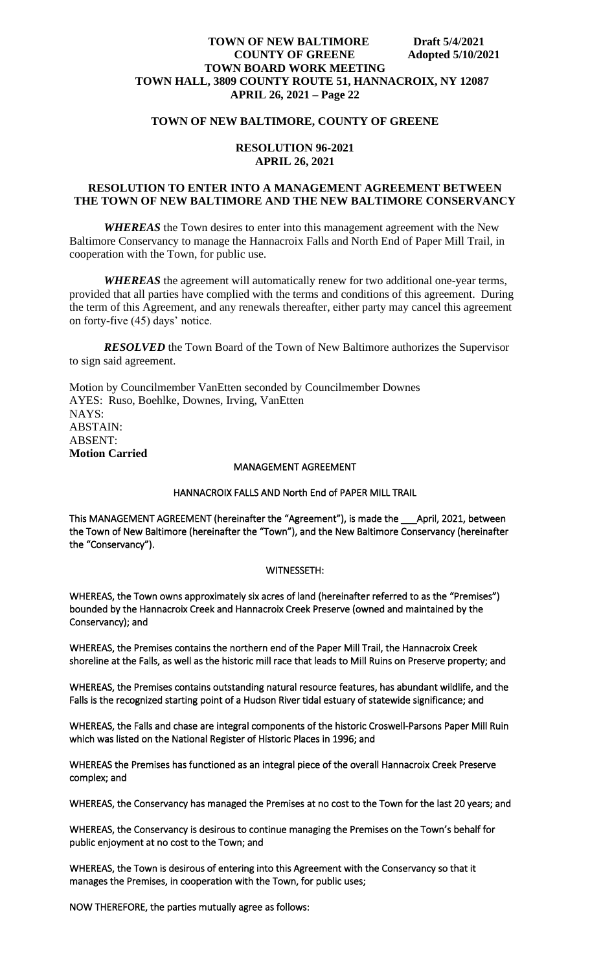#### **TOWN OF NEW BALTIMORE, COUNTY OF GREENE**

#### **RESOLUTION 96-2021 APRIL 26, 2021**

#### **RESOLUTION TO ENTER INTO A MANAGEMENT AGREEMENT BETWEEN THE TOWN OF NEW BALTIMORE AND THE NEW BALTIMORE CONSERVANCY**

*WHEREAS* the Town desires to enter into this management agreement with the New Baltimore Conservancy to manage the Hannacroix Falls and North End of Paper Mill Trail, in cooperation with the Town, for public use.

*WHEREAS* the agreement will automatically renew for two additional one-year terms, provided that all parties have complied with the terms and conditions of this agreement. During the term of this Agreement, and any renewals thereafter, either party may cancel this agreement on forty-five (45) days' notice.

*RESOLVED* the Town Board of the Town of New Baltimore authorizes the Supervisor to sign said agreement.

Motion by Councilmember VanEtten seconded by Councilmember Downes AYES: Ruso, Boehlke, Downes, Irving, VanEtten NAYS: ABSTAIN: ABSENT: **Motion Carried**

#### MANAGEMENT AGREEMENT

#### HANNACROIX FALLS AND North End of PAPER MILL TRAIL

This MANAGEMENT AGREEMENT (hereinafter the "Agreement"), is made the \_\_\_April, 2021, between the Town of New Baltimore (hereinafter the "Town"), and the New Baltimore Conservancy (hereinafter the "Conservancy").

#### WITNESSETH:

WHEREAS, the Town owns approximately six acres of land (hereinafter referred to as the "Premises") bounded by the Hannacroix Creek and Hannacroix Creek Preserve (owned and maintained by the Conservancy); and

WHEREAS, the Premises contains the northern end of the Paper Mill Trail, the Hannacroix Creek shoreline at the Falls, as well as the historic mill race that leads to Mill Ruins on Preserve property; and

WHEREAS, the Premises contains outstanding natural resource features, has abundant wildlife, and the Falls is the recognized starting point of a Hudson River tidal estuary of statewide significance; and

WHEREAS, the Falls and chase are integral components of the historic Croswell-Parsons Paper Mill Ruin which was listed on the National Register of Historic Places in 1996; and

WHEREAS the Premises has functioned as an integral piece of the overall Hannacroix Creek Preserve complex; and

WHEREAS, the Conservancy has managed the Premises at no cost to the Town for the last 20 years; and

WHEREAS, the Conservancy is desirous to continue managing the Premises on the Town's behalf for public enjoyment at no cost to the Town; and

WHEREAS, the Town is desirous of entering into this Agreement with the Conservancy so that it manages the Premises, in cooperation with the Town, for public uses;

NOW THEREFORE, the parties mutually agree as follows: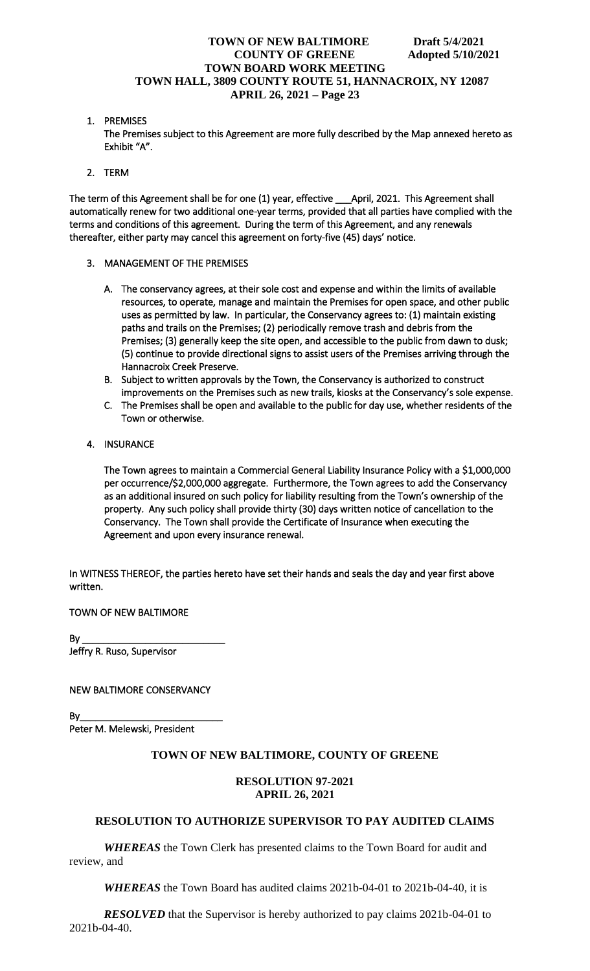1. PREMISES

The Premises subject to this Agreement are more fully described by the Map annexed hereto as Exhibit "A".

2. TERM

The term of this Agreement shall be for one (1) year, effective \_\_\_April, 2021. This Agreement shall automatically renew for two additional one-year terms, provided that all parties have complied with the terms and conditions of this agreement. During the term of this Agreement, and any renewals thereafter, either party may cancel this agreement on forty-five (45) days' notice.

- 3. MANAGEMENT OF THE PREMISES
	- A. The conservancy agrees, at their sole cost and expense and within the limits of available resources, to operate, manage and maintain the Premises for open space, and other public uses as permitted by law. In particular, the Conservancy agrees to: (1) maintain existing paths and trails on the Premises; (2) periodically remove trash and debris from the Premises; (3) generally keep the site open, and accessible to the public from dawn to dusk; (5) continue to provide directional signs to assist users of the Premises arriving through the Hannacroix Creek Preserve.
	- B. Subject to written approvals by the Town, the Conservancy is authorized to construct improvements on the Premises such as new trails, kiosks at the Conservancy's sole expense.
	- C. The Premises shall be open and available to the public for day use, whether residents of the Town or otherwise.
- 4. INSURANCE

The Town agrees to maintain a Commercial General Liability Insurance Policy with a \$1,000,000 per occurrence/\$2,000,000 aggregate. Furthermore, the Town agrees to add the Conservancy as an additional insured on such policy for liability resulting from the Town's ownership of the property. Any such policy shall provide thirty (30) days written notice of cancellation to the Conservancy. The Town shall provide the Certificate of Insurance when executing the Agreement and upon every insurance renewal.

In WITNESS THEREOF, the parties hereto have set their hands and seals the day and year first above written.

TOWN OF NEW BALTIMORE

By \_\_\_\_\_\_\_\_\_\_\_\_\_\_\_\_\_\_\_\_\_\_\_\_\_\_\_ Jeffry R. Ruso, Supervisor

NEW BALTIMORE CONSERVANCY

By\_\_\_\_\_\_\_\_\_\_\_\_\_\_\_\_\_\_\_\_\_\_\_\_\_\_\_ Peter M. Melewski, President

# **TOWN OF NEW BALTIMORE, COUNTY OF GREENE**

## **RESOLUTION 97-2021 APRIL 26, 2021**

# **RESOLUTION TO AUTHORIZE SUPERVISOR TO PAY AUDITED CLAIMS**

*WHEREAS* the Town Clerk has presented claims to the Town Board for audit and review, and

*WHEREAS* the Town Board has audited claims 2021b-04-01 to 2021b-04-40, it is

*RESOLVED* that the Supervisor is hereby authorized to pay claims 2021b-04-01 to 2021b-04-40.